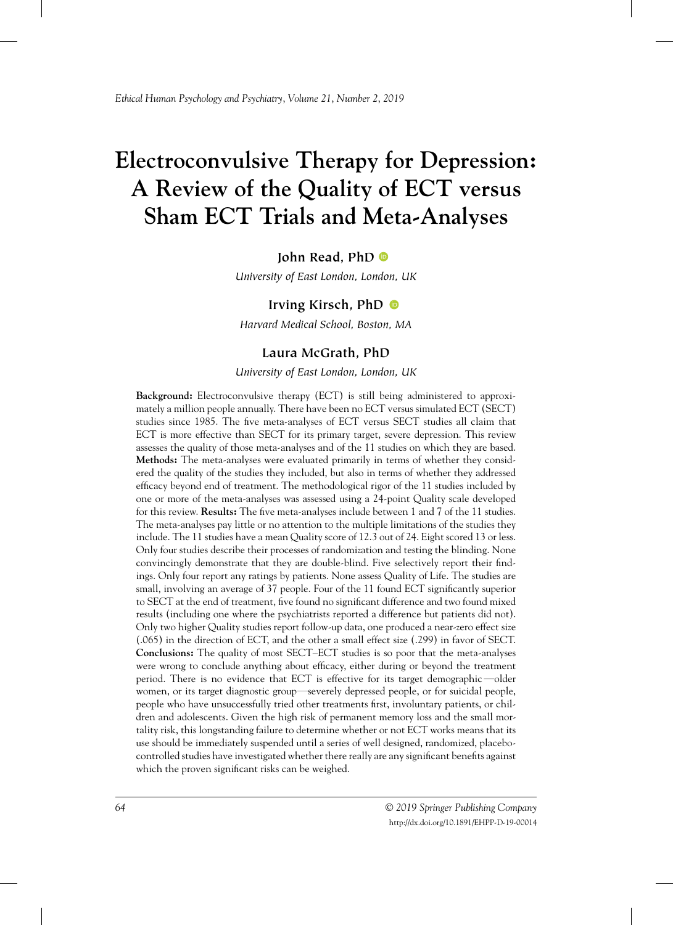# **Electroconvulsive Therapy for Depression: A Review of the Quality of ECT versus Sham ECT Trials and Meta-Analyses**

# **John Read, PhD**

*University of East London, London, UK*

# **Irving Kirsch, PhD**

*Harvard Medical School, Boston, MA*

# **Laura McGrath, PhD**

*University of East London, London, UK*

**Background:** Electroconvulsive therapy (ECT) is still being administered to approximately a million people annually. There have been no ECT versus simulated ECT (SECT) studies since 1985. The five meta-analyses of ECT versus SECT studies all claim that ECT is more effective than SECT for its primary target, severe depression. This review assesses the quality of those meta-analyses and of the 11 studies on which they are based. **Methods:** The meta-analyses were evaluated primarily in terms of whether they considered the quality of the studies they included, but also in terms of whether they addressed efficacy beyond end of treatment. The methodological rigor of the 11 studies included by one or more of the meta-analyses was assessed using a 24-point Quality scale developed for this review. **Results:** The five meta-analyses include between 1 and 7 of the 11 studies. The meta-analyses pay little or no attention to the multiple limitations of the studies they include. The 11 studies have a mean Quality score of 12.3 out of 24. Eight scored 13 or less. Only four studies describe their processes of randomization and testing the blinding. None convincingly demonstrate that they are double-blind. Five selectively report their findings. Only four report any ratings by patients. None assess Quality of Life. The studies are small, involving an average of 37 people. Four of the 11 found ECT significantly superior to SECT at the end of treatment, five found no significant difference and two found mixed results (including one where the psychiatrists reported a difference but patients did not). Only two higher Quality studies report follow-up data, one produced a near-zero effect size (.065) in the direction of ECT, and the other a small effect size (.299) in favor of SECT. **Conclusions:** The quality of most SECT–ECT studies is so poor that the meta-analyses were wrong to conclude anything about efficacy, either during or beyond the treatment period. There is no evidence that ECT is effective for its target demographic—older women, or its target diagnostic group—severely depressed people, or for suicidal people, people who have unsuccessfully tried other treatments first, involuntary patients, or children and adolescents. Given the high risk of permanent memory loss and the small mortality risk, this longstanding failure to determine whether or not ECT works means that its use should be immediately suspended until a series of well designed, randomized, placebocontrolled studies have investigated whether there really are any significant benefits against which the proven significant risks can be weighed.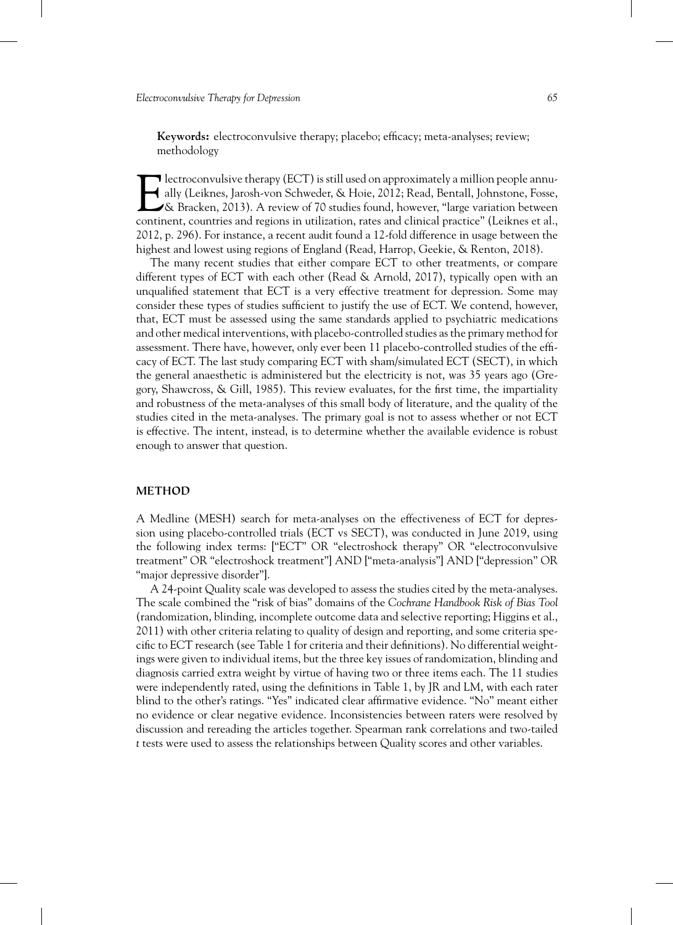**Keywords:** electroconvulsive therapy; placebo; efficacy; meta-analyses; review; methodology

Intertace on the annually (ECT) is still used on approximately a million people annually (Leiknes, Jarosh-von Schweder, & Hoie, 2012; Read, Bentall, Johnstone, Fosse, & Bracken, 2013). A review of 70 studies found, however lectroconvulsive therapy (ECT) is still used on approximately a million people annually (Leiknes, Jarosh-von Schweder, & Hoie, 2012; Read, Bentall, Johnstone, Fosse, & Bracken, 2013). A review of 70 studies found, however, "large variation between 2012, p. 296). For instance, a recent audit found a 12-fold difference in usage between the highest and lowest using regions of England (Read, Harrop, Geekie, & Renton, 2018).

The many recent studies that either compare ECT to other treatments, or compare different types of ECT with each other (Read & Arnold, 2017), typically open with an unqualified statement that ECT is a very effective treatment for depression. Some may consider these types of studies sufficient to justify the use of ECT. We contend, however, that, ECT must be assessed using the same standards applied to psychiatric medications and other medical interventions, with placebo-controlled studies as the primary method for assessment. There have, however, only ever been 11 placebo-controlled studies of the efficacy of ECT. The last study comparing ECT with sham/simulated ECT (SECT), in which the general anaesthetic is administered but the electricity is not, was 35 years ago (Gregory, Shawcross, & Gill, 1985). This review evaluates, for the first time, the impartiality and robustness of the meta-analyses of this small body of literature, and the quality of the studies cited in the meta-analyses. The primary goal is not to assess whether or not ECT is effective. The intent, instead, is to determine whether the available evidence is robust enough to answer that question.

#### **METHOD**

A Medline (MESH) search for meta-analyses on the effectiveness of ECT for depression using placebo-controlled trials (ECT vs SECT), was conducted in June 2019, using the following index terms: ["ECT" OR "electroshock therapy" OR "electroconvulsive treatment" OR "electroshock treatment"] AND ["meta-analysis"] AND ["depression" OR "major depressive disorder"].

A 24-point Quality scale was developed to assess the studies cited by the meta-analyses. The scale combined the "risk of bias" domains of the *Cochrane Handbook Risk of Bias Tool* (randomization, blinding, incomplete outcome data and selective reporting; Higgins et al., 2011) with other criteria relating to quality of design and reporting, and some criteria specific to ECT research (see Table 1 for criteria and their definitions). No differential weightings were given to individual items, but the three key issues of randomization, blinding and diagnosis carried extra weight by virtue of having two or three items each. The 11 studies were independently rated, using the definitions in Table 1, by JR and LM, with each rater blind to the other's ratings. "Yes" indicated clear affirmative evidence. "No" meant either no evidence or clear negative evidence. Inconsistencies between raters were resolved by discussion and rereading the articles together. Spearman rank correlations and two-tailed *t* tests were used to assess the relationships between Quality scores and other variables.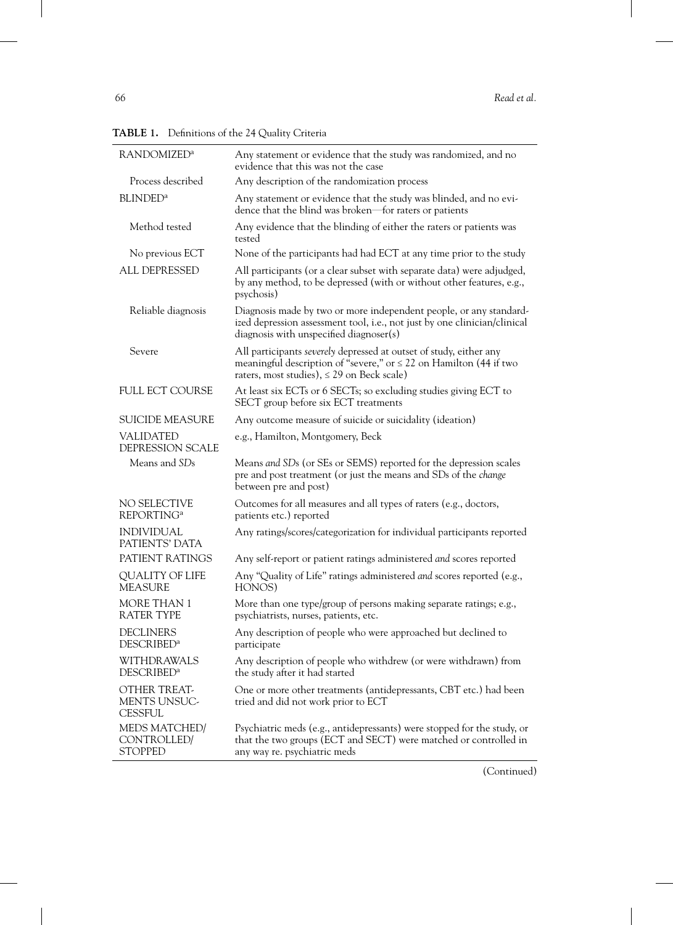| <b>RANDOMIZED<sup>a</sup></b>                    | Any statement or evidence that the study was randomized, and no<br>evidence that this was not the case                                                                                           |
|--------------------------------------------------|--------------------------------------------------------------------------------------------------------------------------------------------------------------------------------------------------|
| Process described                                | Any description of the randomization process                                                                                                                                                     |
| <b>BLINDED</b> <sup>a</sup>                      | Any statement or evidence that the study was blinded, and no evi-<br>dence that the blind was broken—for raters or patients                                                                      |
| Method tested                                    | Any evidence that the blinding of either the raters or patients was<br>tested                                                                                                                    |
| No previous ECT                                  | None of the participants had had ECT at any time prior to the study                                                                                                                              |
| <b>ALL DEPRESSED</b>                             | All participants (or a clear subset with separate data) were adjudged,<br>by any method, to be depressed (with or without other features, e.g.,<br>psychosis)                                    |
| Reliable diagnosis                               | Diagnosis made by two or more independent people, or any standard-<br>ized depression assessment tool, i.e., not just by one clinician/clinical<br>diagnosis with unspecified diagnoser(s)       |
| Severe                                           | All participants severely depressed at outset of study, either any<br>meaningful description of "severe," or $\leq$ 22 on Hamilton (44 if two<br>raters, most studies), $\leq$ 29 on Beck scale) |
| <b>FULL ECT COURSE</b>                           | At least six ECTs or 6 SECTs; so excluding studies giving ECT to<br>SECT group before six ECT treatments                                                                                         |
| <b>SUICIDE MEASURE</b>                           | Any outcome measure of suicide or suicidality (ideation)                                                                                                                                         |
| <b>VALIDATED</b><br>DEPRESSION SCALE             | e.g., Hamilton, Montgomery, Beck                                                                                                                                                                 |
| Means and SDs                                    | Means and SDs (or SEs or SEMS) reported for the depression scales<br>pre and post treatment (or just the means and SDs of the change<br>between pre and post)                                    |
| NO SELECTIVE<br>REPORTING <sup>a</sup>           | Outcomes for all measures and all types of raters (e.g., doctors,<br>patients etc.) reported                                                                                                     |
| <b>INDIVIDUAL</b><br>PATIENTS' DATA              | Any ratings/scores/categorization for individual participants reported                                                                                                                           |
| PATIENT RATINGS                                  | Any self-report or patient ratings administered and scores reported                                                                                                                              |
| QUALITY OF LIFE<br><b>MEASURE</b>                | Any "Quality of Life" ratings administered and scores reported (e.g.,<br>HONOS)                                                                                                                  |
| <b>MORE THAN 1</b><br><b>RATER TYPE</b>          | More than one type/group of persons making separate ratings; e.g.,<br>psychiatrists, nurses, patients, etc.                                                                                      |
| <b>DECLINERS</b><br><b>DESCRIBED<sup>a</sup></b> | Any description of people who were approached but declined to<br>participate                                                                                                                     |
| WITHDRAWALS<br><b>DESCRIBED<sup>a</sup></b>      | Any description of people who withdrew (or were withdrawn) from<br>the study after it had started                                                                                                |
| OTHER TREAT-<br>MENTS UNSUC-<br><b>CESSFUL</b>   | One or more other treatments (antidepressants, CBT etc.) had been<br>tried and did not work prior to ECT                                                                                         |
| MEDS MATCHED/<br>CONTROLLED/<br><b>STOPPED</b>   | Psychiatric meds (e.g., antidepressants) were stopped for the study, or<br>that the two groups (ECT and SECT) were matched or controlled in<br>any way re. psychiatric meds                      |

**TABLE 1.** Definitions of the 24 Quality Criteria

(Continued)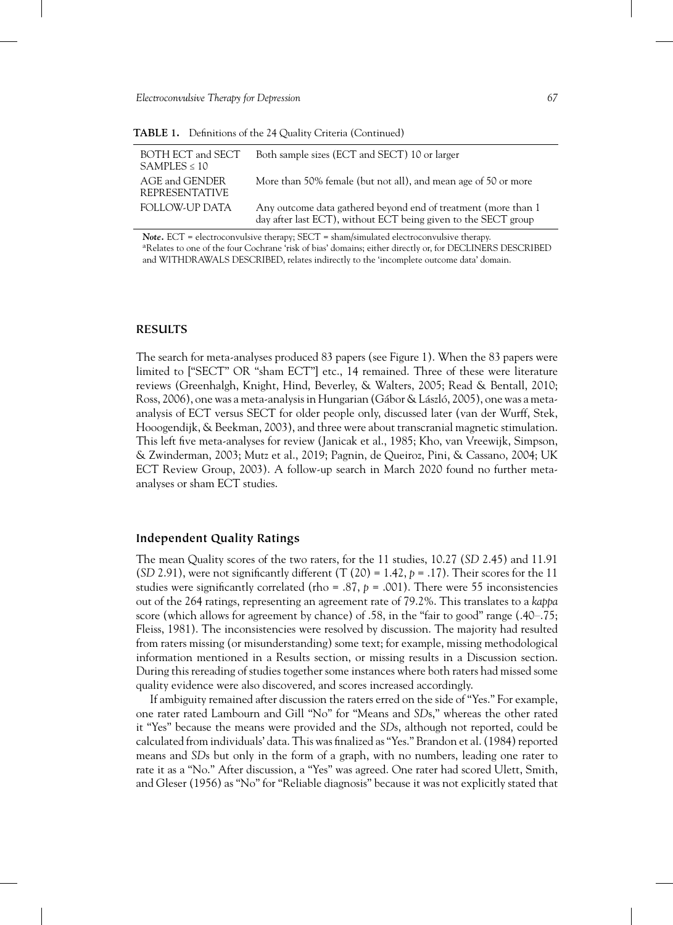| BOTH ECT and SECT<br>$SAMPLES \leq 10$  | Both sample sizes (ECT and SECT) 10 or larger                                                                                     |
|-----------------------------------------|-----------------------------------------------------------------------------------------------------------------------------------|
| AGE and GENDER<br><b>REPRESENTATIVE</b> | More than 50% female (but not all), and mean age of 50 or more                                                                    |
| FOLLOW-UP DATA                          | Any outcome data gathered beyond end of treatment (more than 1)<br>day after last ECT), without ECT being given to the SECT group |

**TABLE 1.** Definitions of the 24 Quality Criteria (Continued)

*Note.* ECT = electroconvulsive therapy; SECT = sham/simulated electroconvulsive therapy. aRelates to one of the four Cochrane 'risk of bias' domains; either directly or, for DECLINERS DESCRIBED and WITHDRAWALS DESCRIBED, relates indirectly to the 'incomplete outcome data' domain.

# **RESULTS**

The search for meta-analyses produced 83 papers (see Figure 1). When the 83 papers were limited to ["SECT" OR "sham ECT"] etc., 14 remained. Three of these were literature reviews (Greenhalgh, Knight, Hind, Beverley, & Walters, 2005; Read & Bentall, 2010; Ross, 2006), one was a meta-analysis in Hungarian (Gábor & László, 2005), one was a metaanalysis of ECT versus SECT for older people only, discussed later (van der Wurff, Stek, Hooogendijk, & Beekman, 2003), and three were about transcranial magnetic stimulation. This left five meta-analyses for review (Janicak et al., 1985; Kho, van Vreewijk, Simpson, & Zwinderman, 2003; Mutz et al., 2019; Pagnin, de Queiroz, Pini, & Cassano, 2004; UK ECT Review Group, 2003). A follow-up search in March 2020 found no further metaanalyses or sham ECT studies.

## **Independent Quality Ratings**

The mean Quality scores of the two raters, for the 11 studies, 10.27 (*SD* 2.45) and 11.91  $(SD 2.91)$ , were not significantly different  $(T (20) = 1.42, p = .17)$ . Their scores for the 11 studies were significantly correlated (rho = .87,  $p = .001$ ). There were 55 inconsistencies out of the 264 ratings, representing an agreement rate of 79.2%. This translates to a *kappa* score (which allows for agreement by chance) of .58, in the "fair to good" range (.40–.75; Fleiss, 1981). The inconsistencies were resolved by discussion. The majority had resulted from raters missing (or misunderstanding) some text; for example, missing methodological information mentioned in a Results section, or missing results in a Discussion section. During this rereading of studies together some instances where both raters had missed some quality evidence were also discovered, and scores increased accordingly.

If ambiguity remained after discussion the raters erred on the side of "Yes." For example, one rater rated Lambourn and Gill "No" for "Means and *SD*s," whereas the other rated it "Yes" because the means were provided and the *SD*s, although not reported, could be calculated from individuals' data. This was finalized as "Yes." Brandon et al. (1984) reported means and *SD*s but only in the form of a graph, with no numbers, leading one rater to rate it as a "No." After discussion, a "Yes" was agreed. One rater had scored Ulett, Smith, and Gleser (1956) as "No" for "Reliable diagnosis" because it was not explicitly stated that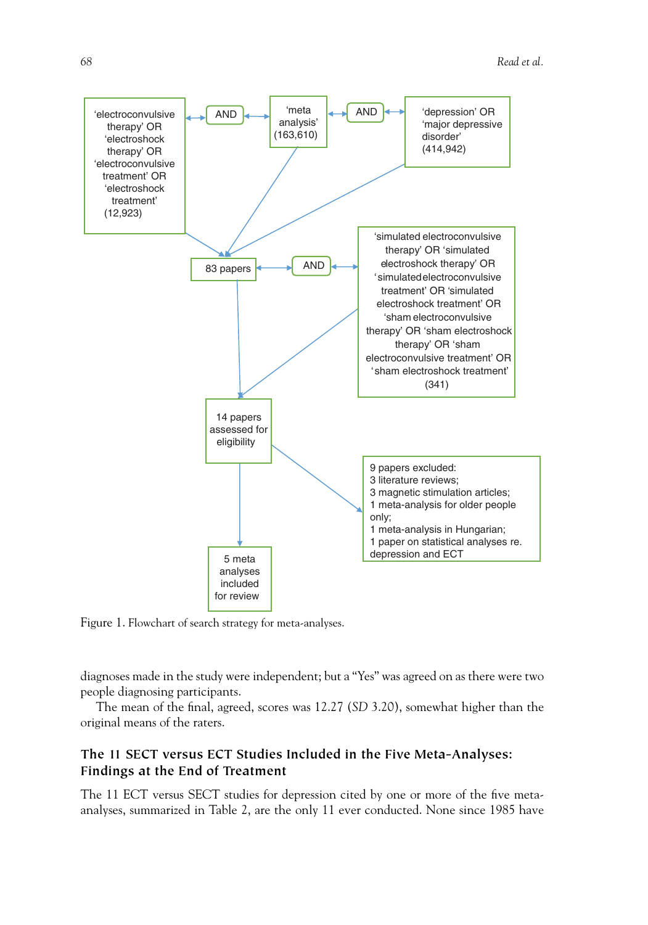

Figure 1. Flowchart of search strategy for meta-analyses.

diagnoses made in the study were independent; but a "Yes" was agreed on as there were two people diagnosing participants.

The mean of the final, agreed, scores was 12.27 (*SD* 3.20), somewhat higher than the original means of the raters.

# **The 11 SECT versus ECT Studies Included in the Five Meta-Analyses: Findings at the End of Treatment**

The 11 ECT versus SECT studies for depression cited by one or more of the five metaanalyses, summarized in Table 2, are the only 11 ever conducted. None since 1985 have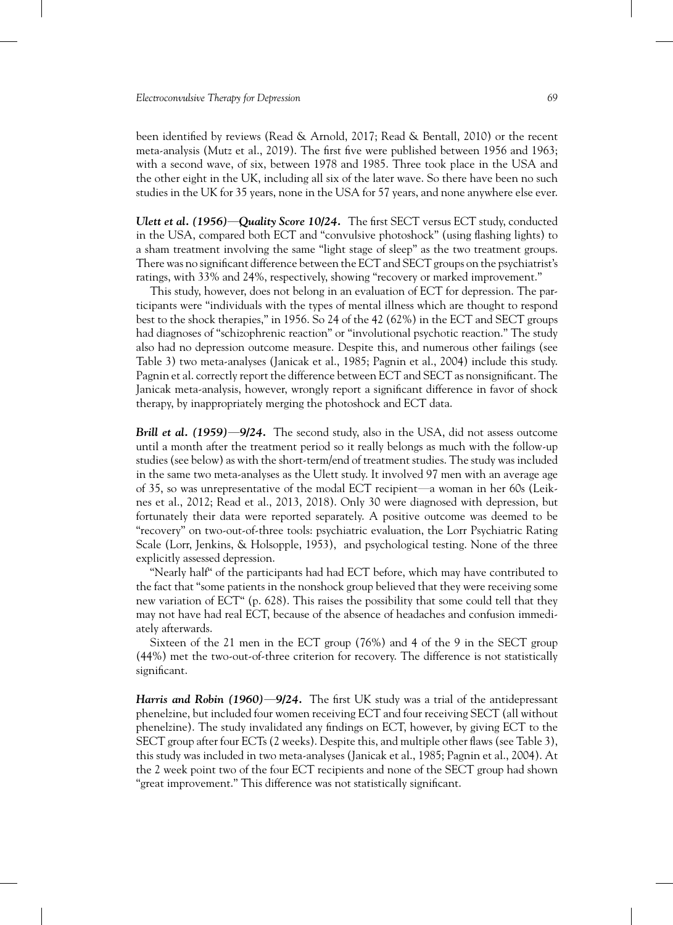been identified by reviews (Read & Arnold, 2017; Read & Bentall, 2010) or the recent meta-analysis (Mutz et al., 2019). The first five were published between 1956 and 1963; with a second wave, of six, between 1978 and 1985. Three took place in the USA and the other eight in the UK, including all six of the later wave. So there have been no such studies in the UK for 35 years, none in the USA for 57 years, and none anywhere else ever.

*Ulett et al. (1956)***—***Quality Score 10/24.* The first SECT versus ECT study, conducted in the USA, compared both ECT and "convulsive photoshock" (using flashing lights) to a sham treatment involving the same "light stage of sleep" as the two treatment groups. There was no significant difference between the ECT and SECT groups on the psychiatrist's ratings, with 33% and 24%, respectively, showing "recovery or marked improvement."

This study, however, does not belong in an evaluation of ECT for depression. The participants were "individuals with the types of mental illness which are thought to respond best to the shock therapies," in 1956. So 24 of the 42 (62%) in the ECT and SECT groups had diagnoses of "schizophrenic reaction" or "involutional psychotic reaction." The study also had no depression outcome measure. Despite this, and numerous other failings (see Table 3) two meta-analyses (Janicak et al., 1985; Pagnin et al., 2004) include this study. Pagnin et al. correctly report the difference between ECT and SECT as nonsignificant. The Janicak meta-analysis, however, wrongly report a significant difference in favor of shock therapy, by inappropriately merging the photoshock and ECT data.

*Brill et al. (1959)***—***9/24.* The second study, also in the USA, did not assess outcome until a month after the treatment period so it really belongs as much with the follow-up studies (see below) as with the short-term/end of treatment studies. The study was included in the same two meta-analyses as the Ulett study. It involved 97 men with an average age of 35, so was unrepresentative of the modal ECT recipient—a woman in her 60s (Leiknes et al., 2012; Read et al., 2013, 2018). Only 30 were diagnosed with depression, but fortunately their data were reported separately. A positive outcome was deemed to be "recovery" on two-out-of-three tools: psychiatric evaluation, the Lorr Psychiatric Rating Scale (Lorr, Jenkins, & Holsopple, 1953), and psychological testing. None of the three explicitly assessed depression.

"Nearly half" of the participants had had ECT before, which may have contributed to the fact that "some patients in the nonshock group believed that they were receiving some new variation of ECT" (p. 628). This raises the possibility that some could tell that they may not have had real ECT, because of the absence of headaches and confusion immediately afterwards.

Sixteen of the 21 men in the ECT group (76%) and 4 of the 9 in the SECT group (44%) met the two-out-of-three criterion for recovery. The difference is not statistically significant.

*Harris and Robin (1960)***—***9/24.* The first UK study was a trial of the antidepressant phenelzine, but included four women receiving ECT and four receiving SECT (all without phenelzine). The study invalidated any findings on ECT, however, by giving ECT to the SECT group after four ECTs (2 weeks). Despite this, and multiple other flaws (see Table 3), this study was included in two meta-analyses (Janicak et al., 1985; Pagnin et al., 2004). At the 2 week point two of the four ECT recipients and none of the SECT group had shown "great improvement." This difference was not statistically significant.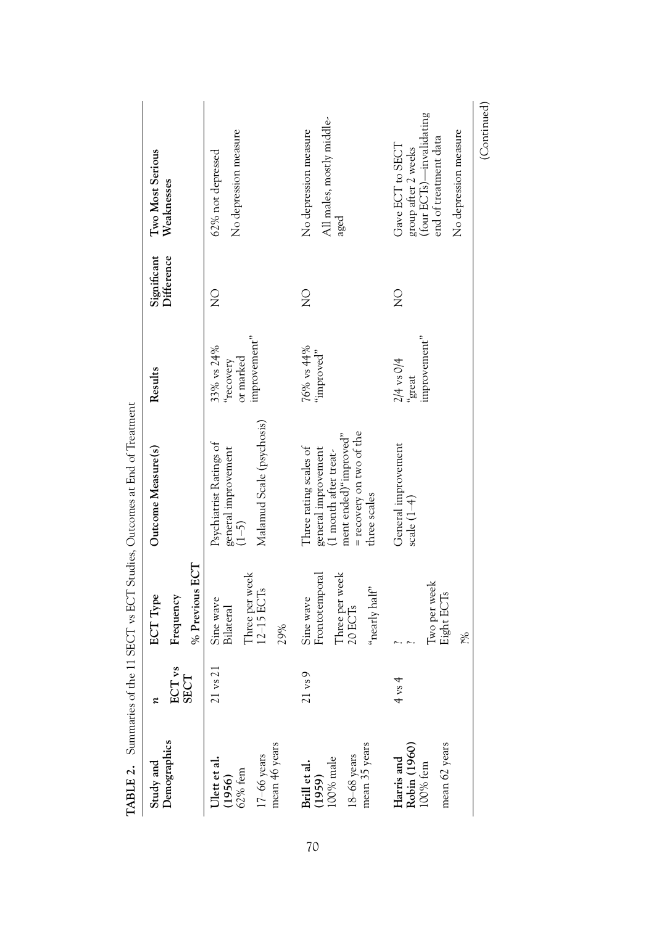|                                                                                |                                    |                                                                                       | <b>TABLE 2.</b> Summaries of the 11 SECT vs ECT Studies, Outcomes at End of Treatment                                                       |                                                      |               |                                                                                                                       |
|--------------------------------------------------------------------------------|------------------------------------|---------------------------------------------------------------------------------------|---------------------------------------------------------------------------------------------------------------------------------------------|------------------------------------------------------|---------------|-----------------------------------------------------------------------------------------------------------------------|
| Study and                                                                      |                                    | ECT Type                                                                              | Outcome Measure(s)                                                                                                                          | Results                                              | Significant   | Two Most Serious                                                                                                      |
| Demographics                                                                   | ECT <sub>vs</sub><br>SECT          | Frequency                                                                             |                                                                                                                                             |                                                      | Difference    | Weaknesses                                                                                                            |
|                                                                                |                                    | % Previous ECT                                                                        |                                                                                                                                             |                                                      |               |                                                                                                                       |
| 17-66 years<br>mean 46 years<br>Ulett et al.<br>(1956)<br><sup>62% fem</sup>   | $\overline{c}$<br>21 <sub>vs</sub> | Three per week<br>$12-15$ ECTs<br>Sine wave<br>Bilateral<br>29%                       | Malamud Scale (psychosis)<br>Psychiatrist Ratings of<br>general improvement $(1-5)$                                                         | improvement"<br>33% vs 24%<br>or marked<br>"recovery | $\frac{1}{2}$ | No depression measure<br>62% not depressed                                                                            |
|                                                                                |                                    |                                                                                       |                                                                                                                                             |                                                      |               |                                                                                                                       |
| mean 35 years<br>$18 - 68$ years<br><b>Brill et al.</b><br>(1959)<br>100% male | $\circ$<br>$21 \text{ vs}$         | Frontotemporal<br>Three per week<br>"nearly half"<br>Sine wave<br>20 ECT <sub>s</sub> | = recovery on two of the<br>ment ended)"improved"<br>Three rating scales of<br>general improvement<br>(1 month after treat-<br>three scales | 76% vs 44%<br>"improved"                             | $\frac{1}{2}$ | All males, mostly middle-<br>No depression measure<br>aged                                                            |
| mean 62 years<br>Harris and<br>Robin (1960)<br>$100\%$ fem                     | $4 \text{ vs } 4$                  | Two per week<br>Eight ECTs<br>šé.                                                     | General improvement<br>scale $(1-4)$                                                                                                        | improvement"<br>$2/4$ vs $0/4$<br>"great             | $\frac{0}{2}$ | (four ECTs)-invalidating<br>No depression measure<br>end of treatment data<br>Gave ECT to SECT<br>group after 2 weeks |
|                                                                                |                                    |                                                                                       |                                                                                                                                             |                                                      |               | (Continued)                                                                                                           |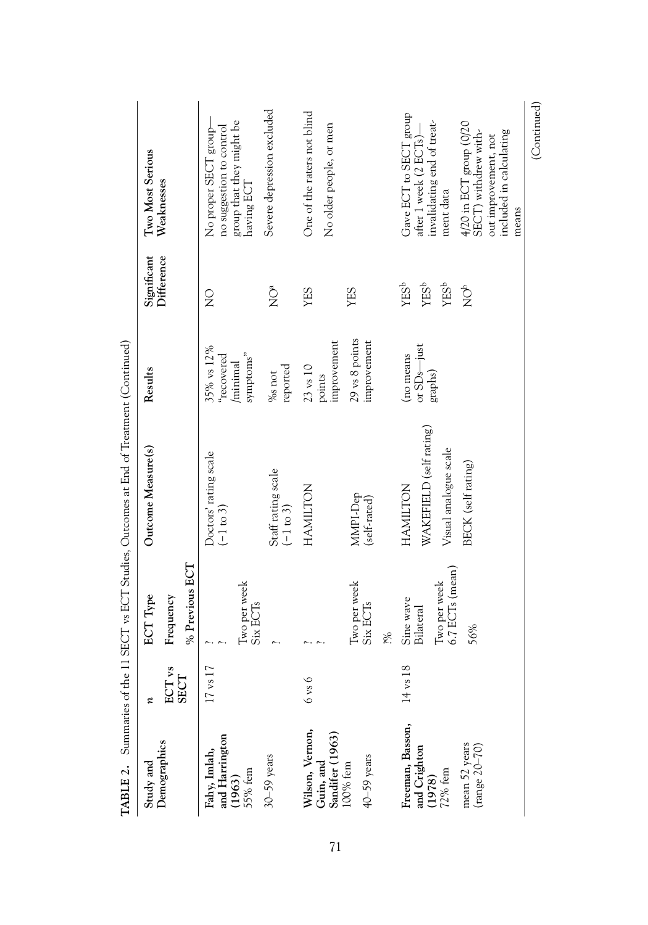|                                                             |                           |                                                                  | <b>TABLE 2.</b> Summaries of the 11 SECT vs ECT Studies, Outcomes at End of Treatment (Continued) |                                                  |                                                                 |                                                                                                             |
|-------------------------------------------------------------|---------------------------|------------------------------------------------------------------|---------------------------------------------------------------------------------------------------|--------------------------------------------------|-----------------------------------------------------------------|-------------------------------------------------------------------------------------------------------------|
| Study and                                                   | z                         | <b>ECT</b> Type                                                  | Outcome Measure(s)                                                                                | Results                                          | Significant                                                     | Two Most Serious                                                                                            |
| Demographics                                                | ECT <sub>vs</sub><br>SECT | Frequency                                                        |                                                                                                   |                                                  | Difference                                                      | Weaknesses                                                                                                  |
|                                                             |                           | % Previous ECT                                                   |                                                                                                   |                                                  |                                                                 |                                                                                                             |
| Fahy, Imlah,<br>and Harrington<br>(1963)<br>55% fem         | $17$ vs $17$              | Two per week                                                     | Doctors' rating scale<br>$(-1 \text{ to } 3)$                                                     | 35% vs 12%<br>symptoms"<br>recovered<br>minimal  | $\frac{0}{2}$                                                   | group that they might be<br>having $\mathsf{ECT}$<br>No proper SECT group-<br>no suggestion to control      |
| $30 - 59$ years                                             |                           | Six ECT <sub>s</sub>                                             | Staff rating scale<br>$(-1 \text{ to } 3)$                                                        | reported<br>%s <sub>not</sub>                    | $\sum^{\alpha}$                                                 | Severe depression excluded                                                                                  |
| Wilson, Vernon,<br>Guin, and<br>Sandifer (1963)<br>100% fem | $6 \text{ vs } 6$         |                                                                  | HAMILTON                                                                                          | improvement<br>$23$ vs $10$<br>points            | YES                                                             | One of the raters not blind<br>No older people, or men                                                      |
| 40-59 years                                                 |                           | Two per week<br>Six ECT <sub>s</sub>                             | MMPI-Dep<br>(self-rated)                                                                          | 29 vs 8 points<br>improvement                    | YES                                                             |                                                                                                             |
|                                                             |                           | šó.                                                              |                                                                                                   |                                                  |                                                                 |                                                                                                             |
| Freeman, Basson,<br>and Crighton<br>(1978)<br>72% fem       | 14 vs 18                  | 6.7 ECTs (mean)<br>Two per week<br>Sine wave<br><b>Bilateral</b> | WAKEFIELD (self rating)<br>Visual analogue scale<br>HAMILTON                                      | or SD <sub>s</sub> —just<br>(no means<br>graphs) | <b>YES</b> <sup>b</sup><br>YES <sup>b</sup><br>YES <sup>b</sup> | Gave ECT to SECT group<br>invalidating end of treat-<br>after 1 week (2 ECTs)-<br>ment data                 |
| mean 52 years<br>$(\mathrm{range}\ 20\text{--}70)$          |                           | 56%                                                              | BECK (self rating)                                                                                |                                                  | $\bigcirc^\circ$                                                | 4/20 in ECT group (0/20<br>SECT) withdrew with-<br>included in calculating<br>out improvement, not<br>means |

(Continued)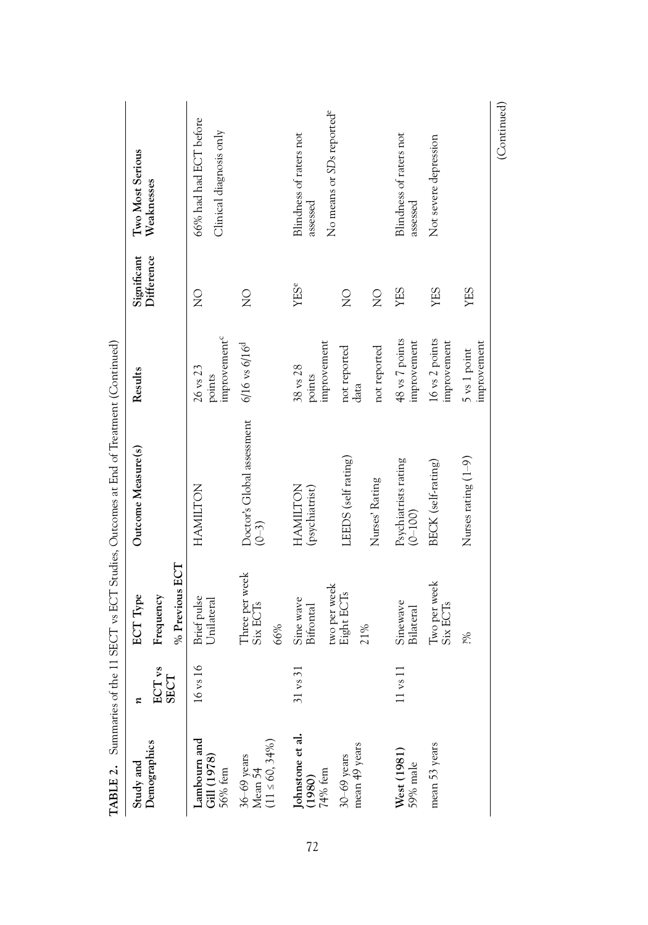| TABLE 2.                                          | Summaries of the              |                                               | 11 SECT vs ECT Studies, Outcomes at End of Treatment (Continued) |                                                |               |                                                                              |
|---------------------------------------------------|-------------------------------|-----------------------------------------------|------------------------------------------------------------------|------------------------------------------------|---------------|------------------------------------------------------------------------------|
| Study and                                         | ε                             | <b>ECT Type</b>                               | Outcome Measure(s)                                               | Results                                        | Significant   | Two Most Serious                                                             |
| Demographics                                      | ECT <sub>vs</sub><br>SECT     | Frequency                                     |                                                                  |                                                | Difference    | Weaknesses                                                                   |
|                                                   |                               | % Previous ECT                                |                                                                  |                                                |               |                                                                              |
| Lambourn and<br>Gill (1978)<br>56% fem            | $\circ$<br>$16 \text{ vs } 1$ | Brief pulse<br>Unilateral                     | <b>HAMILTON</b>                                                  | improvement <sup>c</sup><br>26 vs 23<br>points | $\frac{0}{2}$ | 66% had had ECT before<br>Clinical diagnosis only                            |
| $36-69$ years<br>Mean 54<br>(11 $\leq 60, 34\%$ ) |                               | Three per week<br>Six ECT <sub>s</sub><br>66% | Doctor's Global assessment<br>$(0 - 3)$                          | $6/16$ vs $6/16^{d}$                           | $\frac{0}{2}$ |                                                                              |
| lohnstone et al.<br>$(1980)$<br>$74%$ fem         | $31 \text{ vs } 3$            | two per week<br>Sine wave<br>Bifrontal        | HAMILTON<br>(psychiatrist)                                       | improvement<br>38 vs 28<br>points              | YESe          | No means or SDs reported <sup>e</sup><br>Blindness of raters not<br>assessed |
| mean 49 years<br>$30-69$ years                    |                               | Eight ECTs<br>21%                             | LEEDS (self rating)                                              | not reported<br>data                           | $\frac{0}{2}$ |                                                                              |
|                                                   |                               |                                               | Nurses' Rating                                                   | not reported                                   | $\frac{0}{2}$ |                                                                              |
| West (1981)<br>59% male                           | $11 \text{ vs } 1$            | Sinewave<br>Bilateral                         | Psychiatrists rating<br>$(0 - 100)$                              | 48 vs 7 points<br>improvement                  | YES           | Blindness of raters not<br>assessed                                          |
| mean 53 years                                     |                               | Two per week<br>Six ECT <sub>s</sub>          | BECK (self-rating)                                               | 16 vs 2 points<br>improvement                  | YES           | Not severe depression                                                        |
|                                                   |                               | šó.                                           | Nurses rating $(1-9)$                                            | improvement<br>5 vs 1 point                    | YES           |                                                                              |
|                                                   |                               |                                               |                                                                  |                                                |               | (Continued)                                                                  |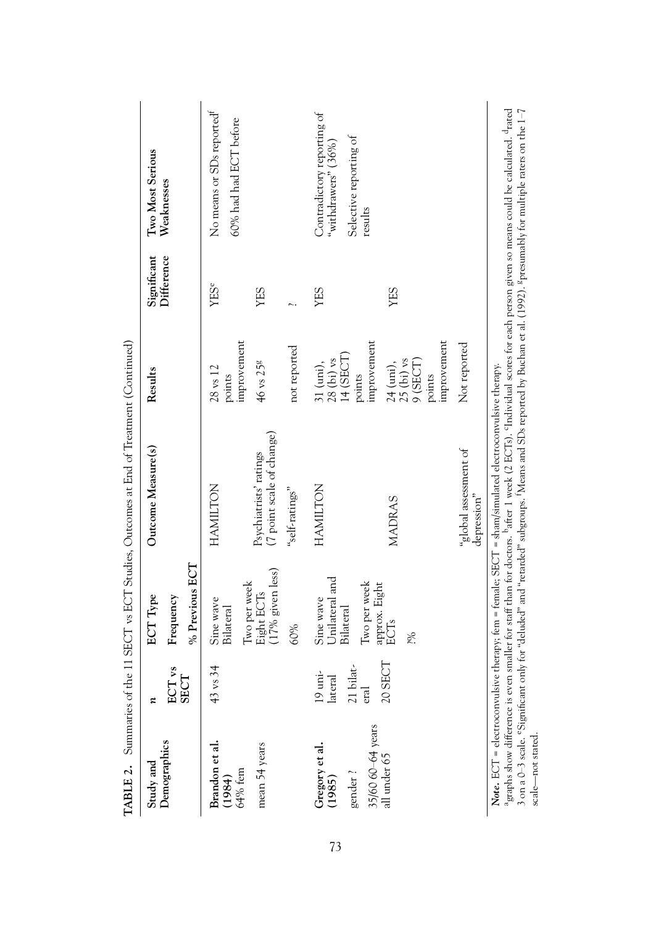|                                                          |                                           |                                                                           | <b>TABLE 2.</b> Summaries of the 11 SECT vs ECT Studies, Outcomes at End of Treatment (Continued)                                                                                                                                                                                                                                                                                                                                                                                                             |                                                                  |             |                                                                                        |
|----------------------------------------------------------|-------------------------------------------|---------------------------------------------------------------------------|---------------------------------------------------------------------------------------------------------------------------------------------------------------------------------------------------------------------------------------------------------------------------------------------------------------------------------------------------------------------------------------------------------------------------------------------------------------------------------------------------------------|------------------------------------------------------------------|-------------|----------------------------------------------------------------------------------------|
| Study and                                                | z                                         | <b>ECT</b> Type                                                           | Outcome Measure(s)                                                                                                                                                                                                                                                                                                                                                                                                                                                                                            | Results                                                          | Significant | Two Most Serious                                                                       |
| Demographics                                             | γS<br><b>SECT</b><br>ECT                  | Frequency                                                                 |                                                                                                                                                                                                                                                                                                                                                                                                                                                                                                               |                                                                  | Difference  | Weaknesses                                                                             |
|                                                          |                                           | % Previous ECT                                                            |                                                                                                                                                                                                                                                                                                                                                                                                                                                                                                               |                                                                  |             |                                                                                        |
| Brandon et al.<br>(1984)<br>$64\%$ fem                   | 34<br>$43$ vs.                            | Sine wave<br><b>Bilateral</b>                                             | HAMILTON                                                                                                                                                                                                                                                                                                                                                                                                                                                                                                      | improvement<br>$28$ vs $12$<br>points                            | YESe        | No means or SDs reported <sup>†</sup><br>60% had had ECT before                        |
| mean 54 years                                            |                                           | (17% given less)<br>Two per week<br>Eight ECTs                            | (7 point scale of change)<br>Psychiatrists' ratings                                                                                                                                                                                                                                                                                                                                                                                                                                                           | 46 vs 25g                                                        | YES         |                                                                                        |
|                                                          |                                           | 60%                                                                       | "self-ratings"                                                                                                                                                                                                                                                                                                                                                                                                                                                                                                | not reported                                                     |             |                                                                                        |
| 35/60 60-64 years<br>Gregory et al.<br>(1985)<br>gender? | 21 bilat-<br>$19$ uni-<br>lateral<br>eral | Unilateral and<br>Two per week<br>approx. Eight<br>Sine wave<br>Bilateral | <b>HAMILTON</b>                                                                                                                                                                                                                                                                                                                                                                                                                                                                                               | improvement<br>31 (uni),<br>28 (bi) vs<br>14 (SECT)<br>points    | YES         | Contradictory reporting of<br>Selective reporting of<br>"withdrawers" (36%)<br>results |
| all under 65                                             | 20 SECT                                   | ECTs<br>i%                                                                | <b>MADRAS</b>                                                                                                                                                                                                                                                                                                                                                                                                                                                                                                 | improvement<br>$25$ (bi) $vs$<br>9 (SECT)<br>24 (uni),<br>points | YES         |                                                                                        |
|                                                          |                                           |                                                                           | "global assessment of<br>depression"                                                                                                                                                                                                                                                                                                                                                                                                                                                                          | Not reported                                                     |             |                                                                                        |
|                                                          |                                           |                                                                           | <sup>a</sup> graphs show difference is even smaller for staff than for doctors. <sup>b</sup> after 1 week (2 ECTs). <sup>c</sup> Individual scores for each person given so means could be calculated. <sup>4</sup> rated<br>3 on a 0–3 scale. °Significant only for "deluded" and "retarded" subgroups. "Means and SDs reported by Buchan et al. (1992). §presumably for multiple raters on the 1–7<br>Note. ECT = electroconvulsive therapy; fem = female; SECT = sham/simulated electroconvulsive therapy. |                                                                  |             |                                                                                        |

scale—not stated.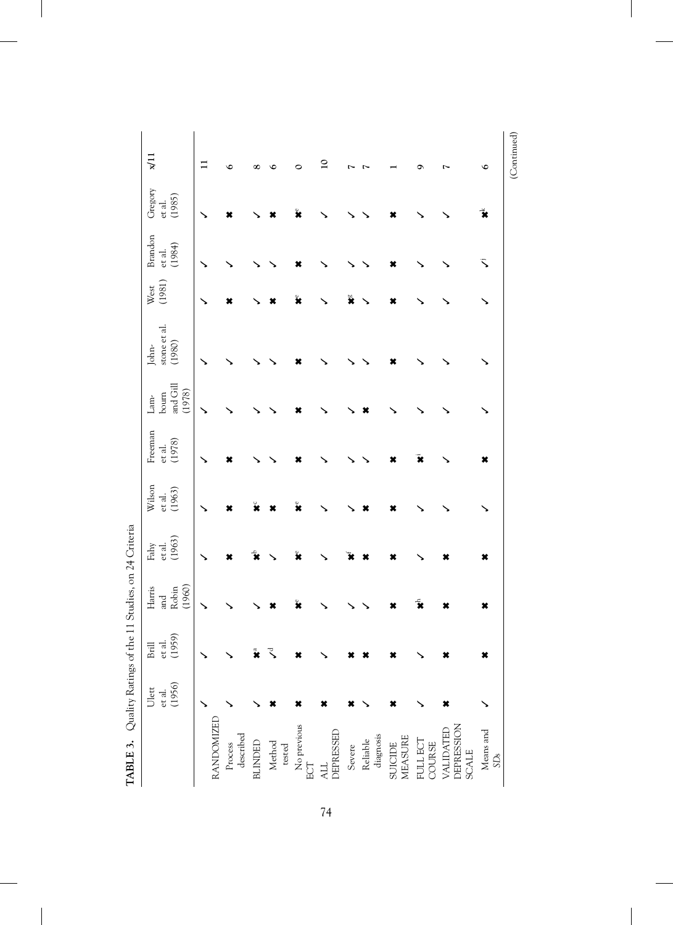| TABLE 3. Quality Ratings of the 11 Studies, on 24 Criteria |                           |                               |                        |                                   |                            |                             |                           |                                 |                |                                      |                             |                 |
|------------------------------------------------------------|---------------------------|-------------------------------|------------------------|-----------------------------------|----------------------------|-----------------------------|---------------------------|---------------------------------|----------------|--------------------------------------|-----------------------------|-----------------|
|                                                            | et al.<br>(1956)<br>Ulett | 1959)<br>et al.<br>Brill<br>ᄃ | Harris<br>Robin<br>and | (1963)<br>Fahy<br>$_{\rm et}$ al. | Wilson<br>(1963)<br>et al. | Freeman<br>(1978)<br>et al. | and Gill<br>bourn<br>Lam- | stone et al.<br>(1980)<br>John- | (1981)<br>West | Brandon<br>(1984)<br>$_{\rm et}$ al. | Gregory<br>(1985)<br>et al. | x/11            |
|                                                            |                           |                               | (1960)                 |                                   |                            |                             | (1978)                    |                                 |                |                                      |                             |                 |
|                                                            |                           | ↘                             |                        |                                   |                            |                             |                           |                                 |                |                                      |                             | $\Xi$           |
| RANDOMIZED                                                 |                           |                               |                        |                                   |                            |                             |                           |                                 |                |                                      |                             |                 |
| described<br>Process                                       |                           |                               |                        | ×                                 |                            | ×                           |                           |                                 | ×              |                                      |                             | $\circ$         |
| <b>BLINDED</b>                                             |                           | $\tilde{\mathbf{z}}$          |                        |                                   |                            |                             |                           |                                 |                |                                      |                             | $\infty$        |
| Method<br>tested                                           | ×                         | र                             |                        |                                   |                            |                             |                           |                                 |                |                                      |                             | ١C              |
| No previous<br>ECT                                         | ×                         |                               |                        | ž                                 |                            |                             |                           |                                 | ×              |                                      |                             | 0               |
| DEPRESSED<br><b>ALL</b>                                    | ×                         |                               |                        |                                   |                            |                             |                           |                                 |                |                                      |                             | $\overline{10}$ |
| Severe                                                     |                           |                               |                        |                                   |                            |                             |                           |                                 | ×              |                                      |                             |                 |
| diagnosis<br>Reliable                                      |                           |                               |                        |                                   |                            |                             |                           |                                 |                |                                      |                             |                 |
| MEASURE<br>SUICIDE                                         | ×                         |                               |                        |                                   |                            |                             |                           |                                 | ×              |                                      |                             |                 |
| FULL ECT<br>COURSE                                         |                           |                               |                        |                                   |                            |                             |                           |                                 |                |                                      |                             | o               |
| DEPRESSION<br>VALIDATED<br><b>SCALE</b>                    | ×                         |                               |                        |                                   |                            |                             |                           |                                 |                |                                      |                             |                 |
| Means and<br>$\text{SDs}$                                  |                           | ×                             | ×                      | ×                                 |                            | ×                           |                           |                                 |                | ς                                    | ž                           | $\circ$         |
|                                                            |                           |                               |                        |                                   |                            |                             |                           |                                 |                |                                      |                             | (Continued)     |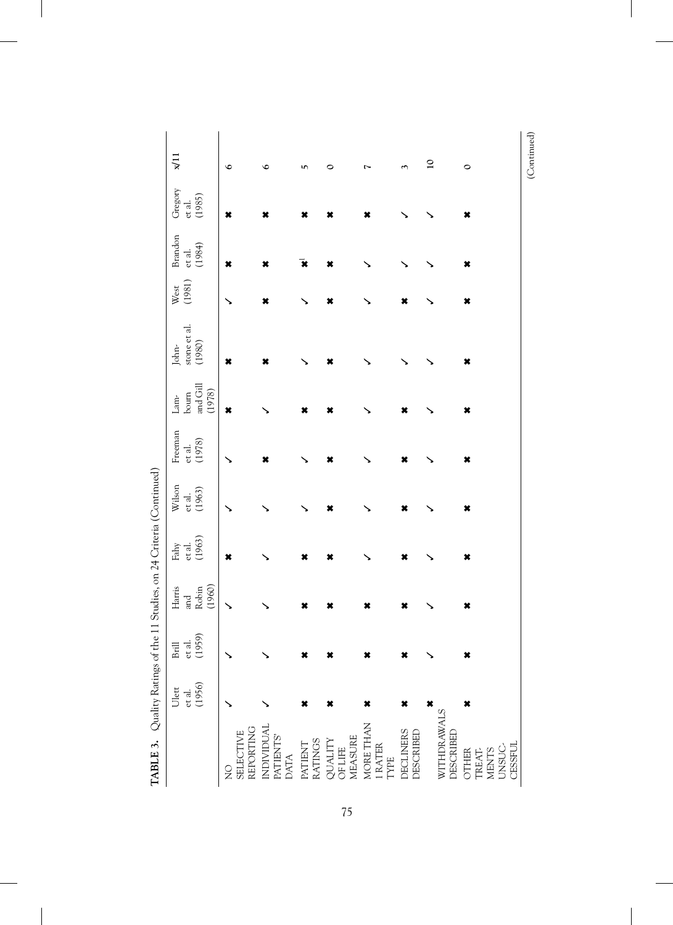| Noting the content of the content of the content of the content of the content of the content of the content of the content of the content of the content of the content of the content of the content of the content of the c |                  |                           |                        |                  |                  |                  |                                              |                        |                |                  |                  |                 |
|--------------------------------------------------------------------------------------------------------------------------------------------------------------------------------------------------------------------------------|------------------|---------------------------|------------------------|------------------|------------------|------------------|----------------------------------------------|------------------------|----------------|------------------|------------------|-----------------|
|                                                                                                                                                                                                                                | Ulett            | Brill<br>et al.<br>(1959) | $Harris$               | Fahy             | Wilson           | Freeman          | $\mathop{\rm Lam^{\scriptscriptstyle\star}}$ | John-                  | West<br>(1981) | <b>Brandon</b>   | Gregory          | x/11            |
|                                                                                                                                                                                                                                |                  |                           |                        |                  |                  |                  | $^{6}$                                       | stone et al.<br>(1980) |                |                  |                  |                 |
|                                                                                                                                                                                                                                | et al.<br>(1956) |                           | and<br>Robin<br>(1960) | et al.<br>(1963) | et al.<br>(1963) | et al.<br>(1978) | and Gill<br>(1978)                           |                        |                | et al.<br>(1984) | et al.<br>(1985) |                 |
| $\frac{1}{2}$                                                                                                                                                                                                                  |                  |                           |                        | ×                |                  |                  | ×                                            | ×                      |                | ×                | ×                | $\circ$         |
| REPORTING<br><b>SELECTIVE</b>                                                                                                                                                                                                  |                  |                           |                        |                  |                  |                  |                                              |                        |                |                  |                  |                 |
| INDIVIDUAL<br>PATIENTS'<br>DATA                                                                                                                                                                                                |                  |                           |                        |                  |                  | ×                |                                              | ×                      | ×              | ×                | ×                | $\circ$         |
| <b>RATINGS</b><br><b>PATIENT</b>                                                                                                                                                                                               | ×                | ×                         | ×                      | ×                |                  |                  | ×                                            |                        |                | x                |                  | LO,             |
| QUALITY<br>OF LIFE<br>MEASURE                                                                                                                                                                                                  | ×                | ×                         | ×                      | ×                | ×                | ×                | ×                                            | ×                      | ×              | ×                |                  | 0               |
| MORE THAN<br>1 RATER<br>TYPE                                                                                                                                                                                                   | ×                | ×                         | ×                      |                  |                  |                  |                                              |                        |                |                  |                  |                 |
| DECLINERS<br>DESCRIBED                                                                                                                                                                                                         | ×                | ×                         | ×                      | ×                | ×                | ×                | ×                                            |                        | ×              |                  |                  |                 |
|                                                                                                                                                                                                                                | ×                |                           |                        |                  |                  |                  |                                              |                        |                |                  |                  | $\overline{10}$ |
| WITHDRAWALS<br>DESCRIBED                                                                                                                                                                                                       |                  |                           |                        |                  |                  |                  |                                              |                        |                |                  |                  |                 |
| OTHER<br>TREAT-                                                                                                                                                                                                                | ×                | ×                         | ×                      | ×                | ×                | ×                | ×                                            | ×                      | ×              | ×                | ×                | $\circ$         |
| <b>MENTS</b>                                                                                                                                                                                                                   |                  |                           |                        |                  |                  |                  |                                              |                        |                |                  |                  |                 |
|                                                                                                                                                                                                                                |                  |                           |                        |                  |                  |                  |                                              |                        |                |                  |                  |                 |
| UNSUC-<br>CESSFUL                                                                                                                                                                                                              |                  |                           |                        |                  |                  |                  |                                              |                        |                |                  |                  |                 |

(Continued)

Ouglity Ratings of the 11 Studies on 24 Criteria (Continued) **TABLE 3.** Quality Ratings of the 11 Studies, on 24 Criteria (Continued) TARIE<sub>3</sub>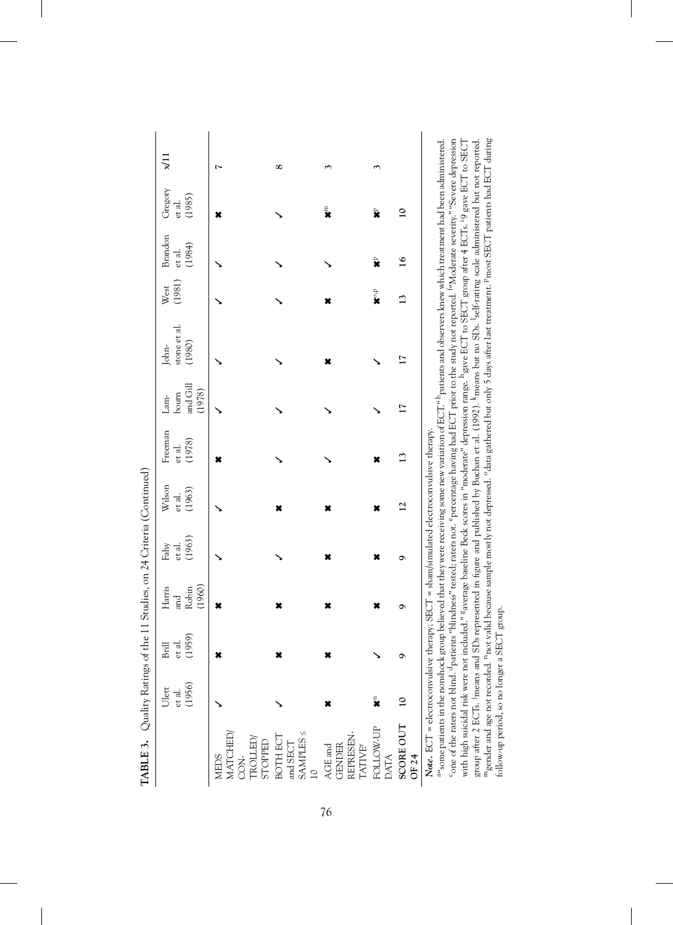| Fahy             | Wilson           |                  |                                                           |                        |                      |                  |                  |                                                                                                                                                                                                                                                                                                                                                                                                                                                                                                                                                                                                                                                                                                      |
|------------------|------------------|------------------|-----------------------------------------------------------|------------------------|----------------------|------------------|------------------|------------------------------------------------------------------------------------------------------------------------------------------------------------------------------------------------------------------------------------------------------------------------------------------------------------------------------------------------------------------------------------------------------------------------------------------------------------------------------------------------------------------------------------------------------------------------------------------------------------------------------------------------------------------------------------------------------|
|                  |                  | Freeman          | Lam-                                                      | John-                  | West                 | Brandon          | Gregory          | ГI¤                                                                                                                                                                                                                                                                                                                                                                                                                                                                                                                                                                                                                                                                                                  |
| (1963)<br>et al. | (1963)<br>et al. | (1978)<br>et al. | and Gill<br>(1978)<br>bourn                               | stone et al.<br>(1980) | (1981)               | (1984)<br>et al. | (1985)<br>et al. |                                                                                                                                                                                                                                                                                                                                                                                                                                                                                                                                                                                                                                                                                                      |
|                  |                  |                  |                                                           |                        |                      |                  |                  |                                                                                                                                                                                                                                                                                                                                                                                                                                                                                                                                                                                                                                                                                                      |
|                  |                  |                  |                                                           |                        |                      |                  |                  |                                                                                                                                                                                                                                                                                                                                                                                                                                                                                                                                                                                                                                                                                                      |
|                  |                  |                  |                                                           |                        |                      |                  |                  |                                                                                                                                                                                                                                                                                                                                                                                                                                                                                                                                                                                                                                                                                                      |
|                  |                  |                  |                                                           |                        |                      |                  |                  | $\infty$                                                                                                                                                                                                                                                                                                                                                                                                                                                                                                                                                                                                                                                                                             |
|                  |                  |                  |                                                           |                        |                      |                  | E<br>X           |                                                                                                                                                                                                                                                                                                                                                                                                                                                                                                                                                                                                                                                                                                      |
|                  |                  |                  |                                                           |                        | $\mathbf{x}^{\circ}$ | ×                |                  |                                                                                                                                                                                                                                                                                                                                                                                                                                                                                                                                                                                                                                                                                                      |
| ٩                | $\overline{c}$   | 13               |                                                           |                        |                      | $\frac{6}{1}$    | $\overline{a}$   |                                                                                                                                                                                                                                                                                                                                                                                                                                                                                                                                                                                                                                                                                                      |
|                  |                  |                  |                                                           |                        |                      |                  |                  |                                                                                                                                                                                                                                                                                                                                                                                                                                                                                                                                                                                                                                                                                                      |
|                  |                  |                  |                                                           |                        |                      |                  |                  |                                                                                                                                                                                                                                                                                                                                                                                                                                                                                                                                                                                                                                                                                                      |
|                  |                  |                  | therapy; SECT = sham/simulated electroconvulsive therapy. |                        |                      |                  |                  | one of the raters not blind. <sup>d</sup> patients "blindness" tested; raters not. <sup>e</sup> percentage having had ECT prior to the study not reported. "Moderate severity." "Severe depression<br>included." <sup>s</sup> average baseline Beck scores in "moderate" depression range. <sup>h</sup> gave ECT to SECT group after 4 ECTs. <sup>1</sup> 9 gave ECT to SECT<br>group believed that they were receiving some new variation of ECT." <sup>h</sup> patients and observers knew which treatment had been administered.<br>SDs represented in figure and published by Buchan et al. (1992). <sup>k</sup> means but no SDs. <sup>1</sup> self-rating scale administered but not reported. |

with high suicidal risk were not included." gaverage baseline Beck scores in "moderate" depression range. hgave ECT to SECT group after 4 ECTs. i9 gave ECT to SECT group after 2 ECTs. jmeans and SDs represented in figure and published by Buchan et al. (1992). kmeans but no SDs. lself-rating scale administered but not reported. mgender and age not recorded. nnot valid because sample mostly not depressed. odata gathered but only 5 days after last treatment. pmost SECT patients had ECT during

mgender and age not recorded. <sup>n</sup>not valid because sample mostly not depressed. <sup>o</sup>data gathered but only 5 days after last treatment. Pmost SECT patients had ECT during

follow-up period, so no longer a SECT group.

follow-up period, so no longer a SECT group.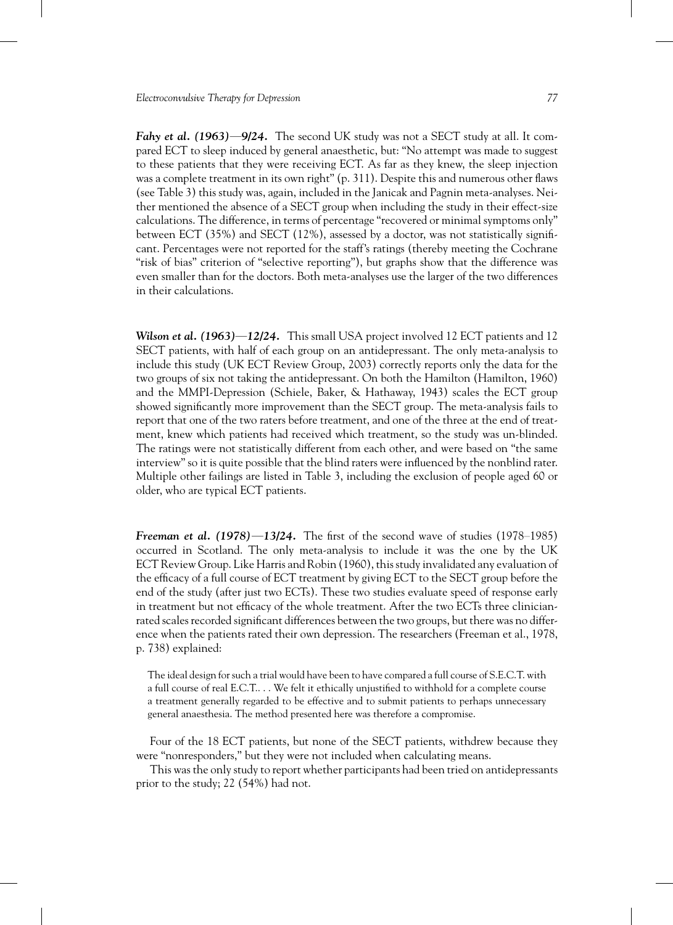*Fahy et al. (1963)***—***9/24.* The second UK study was not a SECT study at all. It compared ECT to sleep induced by general anaesthetic, but: "No attempt was made to suggest to these patients that they were receiving ECT. As far as they knew, the sleep injection was a complete treatment in its own right" (p. 311). Despite this and numerous other flaws (see Table 3) this study was, again, included in the Janicak and Pagnin meta-analyses. Neither mentioned the absence of a SECT group when including the study in their effect-size calculations. The difference, in terms of percentage "recovered or minimal symptoms only" between ECT (35%) and SECT (12%), assessed by a doctor, was not statistically significant. Percentages were not reported for the staff's ratings (thereby meeting the Cochrane "risk of bias" criterion of "selective reporting"), but graphs show that the difference was even smaller than for the doctors. Both meta-analyses use the larger of the two differences in their calculations.

*Wilson et al. (1963)***—***12/24.* This small USA project involved 12 ECT patients and 12 SECT patients, with half of each group on an antidepressant. The only meta-analysis to include this study (UK ECT Review Group, 2003) correctly reports only the data for the two groups of six not taking the antidepressant. On both the Hamilton (Hamilton, 1960) and the MMPI-Depression (Schiele, Baker, & Hathaway, 1943) scales the ECT group showed significantly more improvement than the SECT group. The meta-analysis fails to report that one of the two raters before treatment, and one of the three at the end of treatment, knew which patients had received which treatment, so the study was un-blinded. The ratings were not statistically different from each other, and were based on "the same interview" so it is quite possible that the blind raters were influenced by the nonblind rater. Multiple other failings are listed in Table 3, including the exclusion of people aged 60 or older, who are typical ECT patients.

*Freeman et al. (1978)***—***13/24.* The first of the second wave of studies (1978–1985) occurred in Scotland. The only meta-analysis to include it was the one by the UK ECT Review Group. Like Harris and Robin (1960), this study invalidated any evaluation of the efficacy of a full course of ECT treatment by giving ECT to the SECT group before the end of the study (after just two ECTs). These two studies evaluate speed of response early in treatment but not efficacy of the whole treatment. After the two ECTs three clinicianrated scales recorded significant differences between the two groups, but there was no difference when the patients rated their own depression. The researchers (Freeman et al., 1978, p. 738) explained:

The ideal design for such a trial would have been to have compared a full course of S.E.C.T. with a full course of real E.C.T.. . . We felt it ethically unjustified to withhold for a complete course a treatment generally regarded to be effective and to submit patients to perhaps unnecessary general anaesthesia. The method presented here was therefore a compromise.

Four of the 18 ECT patients, but none of the SECT patients, withdrew because they were "nonresponders," but they were not included when calculating means.

This was the only study to report whether participants had been tried on antidepressants prior to the study;  $22(54%)$  had not.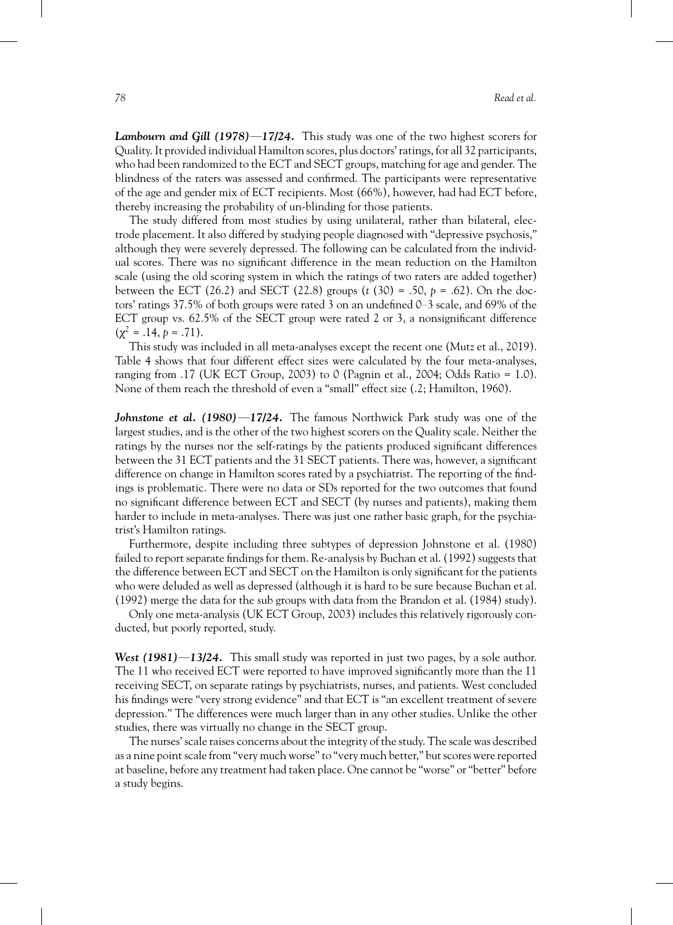*Lambourn and Gill (1978)***—***17/24.* This study was one of the two highest scorers for Quality. It provided individual Hamilton scores, plus doctors' ratings, for all 32 participants, who had been randomized to the ECT and SECT groups, matching for age and gender. The blindness of the raters was assessed and confirmed. The participants were representative of the age and gender mix of ECT recipients. Most (66%), however, had had ECT before, thereby increasing the probability of un-blinding for those patients.

The study differed from most studies by using unilateral, rather than bilateral, electrode placement. It also differed by studying people diagnosed with "depressive psychosis," although they were severely depressed. The following can be calculated from the individual scores. There was no significant difference in the mean reduction on the Hamilton scale (using the old scoring system in which the ratings of two raters are added together) between the ECT (26.2) and SECT (22.8) groups (*t* (30) = .50, *p* = .62). On the doctors' ratings 37.5% of both groups were rated 3 on an undefined 0–3 scale, and 69% of the ECT group vs. 62.5% of the SECT group were rated 2 or 3, a nonsignificant difference  $(\chi^2 = .14, p = .71).$ 

This study was included in all meta-analyses except the recent one (Mutz et al., 2019). Table 4 shows that four different effect sizes were calculated by the four meta-analyses, ranging from .17 (UK ECT Group, 2003) to 0 (Pagnin et al., 2004; Odds Ratio = 1.0). None of them reach the threshold of even a "small" effect size (.2; Hamilton, 1960).

*Johnstone et al. (1980)***—***17/24.* The famous Northwick Park study was one of the largest studies, and is the other of the two highest scorers on the Quality scale. Neither the ratings by the nurses nor the self-ratings by the patients produced significant differences between the 31 ECT patients and the 31 SECT patients. There was, however, a significant difference on change in Hamilton scores rated by a psychiatrist. The reporting of the findings is problematic. There were no data or SDs reported for the two outcomes that found no significant difference between ECT and SECT (by nurses and patients), making them harder to include in meta-analyses. There was just one rather basic graph, for the psychiatrist's Hamilton ratings.

Furthermore, despite including three subtypes of depression Johnstone et al. (1980) failed to report separate findings for them. Re-analysis by Buchan et al. (1992) suggests that the difference between ECT and SECT on the Hamilton is only significant for the patients who were deluded as well as depressed (although it is hard to be sure because Buchan et al. (1992) merge the data for the sub groups with data from the Brandon et al. (1984) study).

Only one meta-analysis (UK ECT Group, 2003) includes this relatively rigorously conducted, but poorly reported, study.

*West (1981)***—***13/24.* This small study was reported in just two pages, by a sole author. The 11 who received ECT were reported to have improved significantly more than the 11 receiving SECT, on separate ratings by psychiatrists, nurses, and patients. West concluded his findings were "very strong evidence" and that ECT is "an excellent treatment of severe depression." The differences were much larger than in any other studies. Unlike the other studies, there was virtually no change in the SECT group.

The nurses' scale raises concerns about the integrity of the study. The scale was described as a nine point scale from "very much worse" to "very much better," but scores were reported at baseline, before any treatment had taken place. One cannot be "worse" or "better" before a study begins.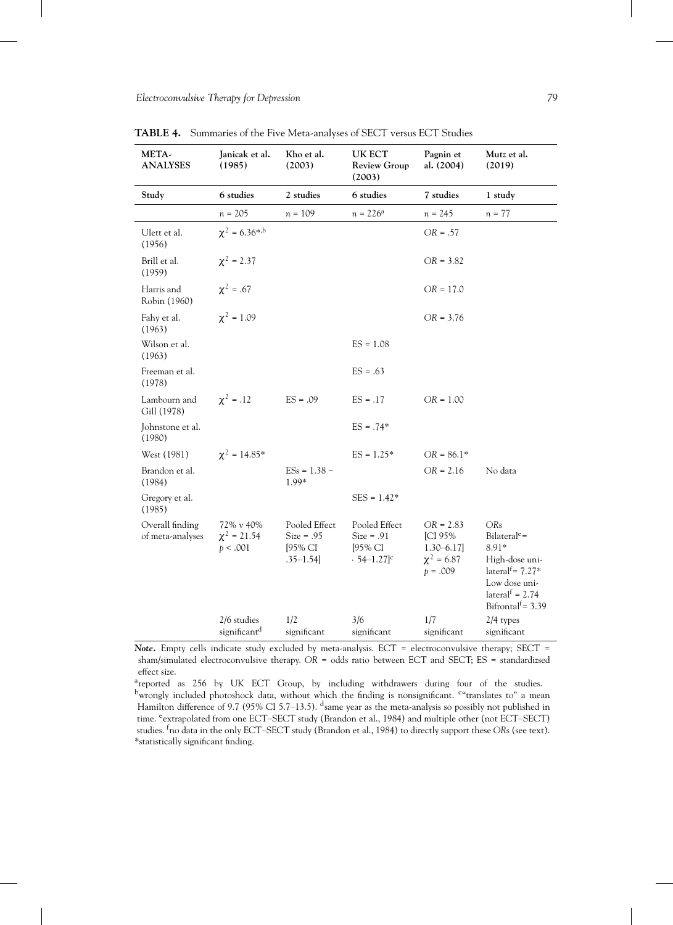| META-<br><b>ANALYSES</b>            | Janicak et al.<br>(1985)                  | Kho et al.<br>(2003)                                       | UK ECT<br><b>Review Group</b><br>(2003)                               | Pagnin et<br>al. (2004)                                                         | Mutz et al.<br>(2019)                                                                                                                                       |
|-------------------------------------|-------------------------------------------|------------------------------------------------------------|-----------------------------------------------------------------------|---------------------------------------------------------------------------------|-------------------------------------------------------------------------------------------------------------------------------------------------------------|
| Study                               | 6 studies                                 | 2 studies                                                  | 6 studies                                                             | 7 studies                                                                       | 1 study                                                                                                                                                     |
|                                     | $n = 205$                                 | $n = 109$                                                  | $n = 226^{\rm a}$                                                     | $n = 245$                                                                       | $n = 77$                                                                                                                                                    |
| Ulett et al.<br>(1956)              | $\chi^2 = 6.36^{*,b}$                     |                                                            |                                                                       | $OR = .57$                                                                      |                                                                                                                                                             |
| Brill et al.<br>(1959)              | $\chi^2$ = 2.37                           |                                                            |                                                                       | $OR = 3.82$                                                                     |                                                                                                                                                             |
| Harris and<br>Robin (1960)          | $\chi^2 = .67$                            |                                                            |                                                                       | $OR = 17.0$                                                                     |                                                                                                                                                             |
| Fahy et al.<br>(1963)               | $\chi^2 = 1.09$                           |                                                            |                                                                       | $OR = 3.76$                                                                     |                                                                                                                                                             |
| Wilson et al.<br>(1963)             |                                           |                                                            | $ES = 1.08$                                                           |                                                                                 |                                                                                                                                                             |
| Freeman et al.<br>(1978)            |                                           |                                                            | $ES = .63$                                                            |                                                                                 |                                                                                                                                                             |
| Lambourn and<br>Gill (1978)         | $x^2 = .12$                               | $ES = .09$                                                 | $ES = .17$                                                            | $OR = 1.00$                                                                     |                                                                                                                                                             |
| Johnstone et al.<br>(1980)          |                                           |                                                            | $ES = .74*$                                                           |                                                                                 |                                                                                                                                                             |
| West (1981)                         | $\chi^2 = 14.85^*$                        |                                                            | $ES = 1.25*$                                                          | $OR = 86.1*$                                                                    |                                                                                                                                                             |
| Brandon et al.<br>(1984)            |                                           | $ESs = 1.38 -$<br>1.99*                                    |                                                                       | $OR = 2.16$                                                                     | No data                                                                                                                                                     |
| Gregory et al.<br>(1985)            |                                           |                                                            | $SES = 1.42*$                                                         |                                                                                 |                                                                                                                                                             |
| Overall finding<br>of meta-analyses | 72% v 40%<br>$\chi^2$ = 21.54<br>p < .001 | Pooled Effect<br>$Size = .95$<br>[95% CI<br>$.35 - 1.54$ ] | Pooled Effect<br>$Size = .91$<br>[95% CI<br>$.54 - 1.27$ <sup>c</sup> | $OR = 2.83$<br><b>ICI 95%</b><br>$1.30 - 6.17$<br>$\chi^2 = 6.87$<br>$p = .009$ | ORs<br>Bilateral <sup>e</sup> =<br>$8.91*$<br>High-dose uni-<br>lateral <sup>f</sup> = $7.27*$<br>Low dose uni-<br>lateral $f = 2.74$<br>Bifrontal $=$ 3.39 |
|                                     | 2/6 studies<br>significant <sup>d</sup>   | 1/2<br>significant                                         | 3/6<br>significant                                                    | 1/7<br>significant                                                              | 2/4 types<br>significant                                                                                                                                    |

**TABLE 4.** Summaries of the Five Meta-analyses of SECT versus ECT Studies

Note. Empty cells indicate study excluded by meta-analysis. ECT = electroconvulsive therapy; SECT = sham/simulated electroconvulsive therapy. *OR* = odds ratio between ECT and SECT; ES = standardizsed effect size.

areported as 256 by UK ECT Group, by including withdrawers during four of the studies. <sup>b</sup>wrongly included photoshock data, without which the finding is nonsignificant. <sup>c</sup>"translates to" a mean Hamilton difference of 9.7 (95% CI 5.7–13.5). <sup>d</sup>same year as the meta-analysis so possibly not published in time. <sup>e</sup>extrapolated from one ECT-SECT study (Brandon et al., 1984) and multiple other (not ECT-SECT) studies. <sup>f</sup>no data in the only ECT–SECT study (Brandon et al., 1984) to directly support these *OR*s (see text). \*statistically significant finding.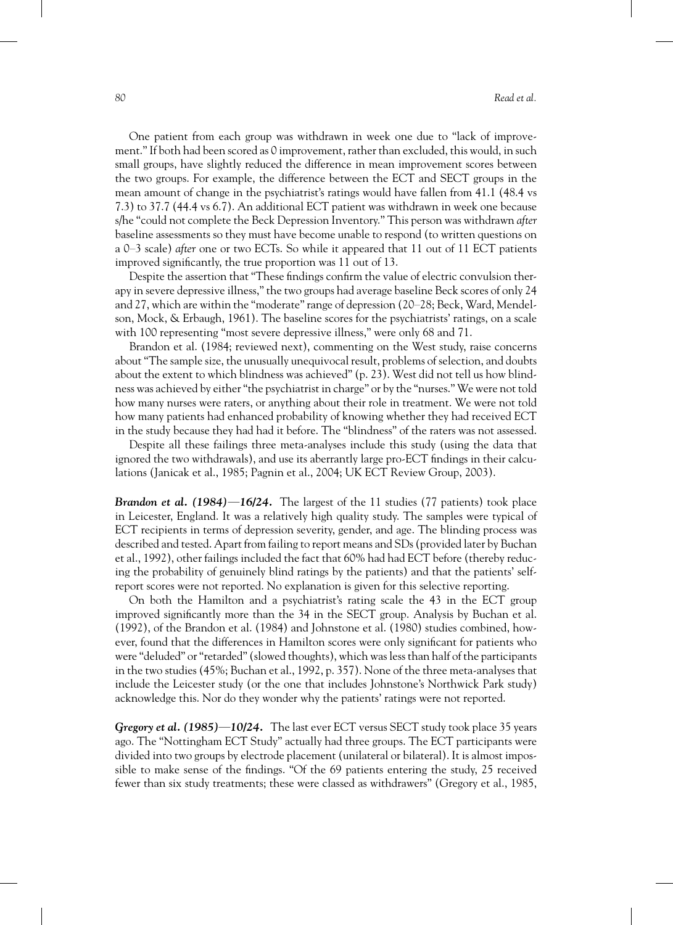One patient from each group was withdrawn in week one due to "lack of improvement." If both had been scored as 0 improvement, rather than excluded, this would, in such small groups, have slightly reduced the difference in mean improvement scores between the two groups. For example, the difference between the ECT and SECT groups in the mean amount of change in the psychiatrist's ratings would have fallen from 41.1 (48.4 vs 7.3) to 37.7 (44.4 vs 6.7). An additional ECT patient was withdrawn in week one because s/he "could not complete the Beck Depression Inventory." This person was withdrawn*after* baseline assessments so they must have become unable to respond (to written questions on a 0–3 scale) *after* one or two ECTs. So while it appeared that 11 out of 11 ECT patients improved significantly, the true proportion was 11 out of 13.

Despite the assertion that "These findings confirm the value of electric convulsion therapy in severe depressive illness," the two groups had average baseline Beck scores of only 24 and 27, which are within the "moderate" range of depression (20–28; Beck, Ward, Mendelson, Mock, & Erbaugh, 1961). The baseline scores for the psychiatrists' ratings, on a scale with 100 representing "most severe depressive illness," were only 68 and 71.

Brandon et al. (1984; reviewed next), commenting on the West study, raise concerns about "The sample size, the unusually unequivocal result, problems of selection, and doubts about the extent to which blindness was achieved" (p. 23). West did not tell us how blindness was achieved by either "the psychiatrist in charge" or by the "nurses." We were not told how many nurses were raters, or anything about their role in treatment. We were not told how many patients had enhanced probability of knowing whether they had received ECT in the study because they had had it before. The "blindness" of the raters was not assessed.

Despite all these failings three meta-analyses include this study (using the data that ignored the two withdrawals), and use its aberrantly large pro-ECT findings in their calculations (Janicak et al., 1985; Pagnin et al., 2004; UK ECT Review Group, 2003).

*Brandon et al. (1984)***—***16/24.* The largest of the 11 studies (77 patients) took place in Leicester, England. It was a relatively high quality study. The samples were typical of ECT recipients in terms of depression severity, gender, and age. The blinding process was described and tested. Apart from failing to report means and SDs (provided later by Buchan et al., 1992), other failings included the fact that 60% had had ECT before (thereby reducing the probability of genuinely blind ratings by the patients) and that the patients' selfreport scores were not reported. No explanation is given for this selective reporting.

On both the Hamilton and a psychiatrist's rating scale the 43 in the ECT group improved significantly more than the 34 in the SECT group. Analysis by Buchan et al. (1992), of the Brandon et al. (1984) and Johnstone et al. (1980) studies combined, however, found that the differences in Hamilton scores were only significant for patients who were "deluded" or "retarded" (slowed thoughts), which was less than half of the participants in the two studies (45%; Buchan et al., 1992, p. 357). None of the three meta-analyses that include the Leicester study (or the one that includes Johnstone's Northwick Park study) acknowledge this. Nor do they wonder why the patients' ratings were not reported.

*Gregory et al. (1985)***—***10/24.* The last ever ECT versus SECT study took place 35 years ago. The "Nottingham ECT Study" actually had three groups. The ECT participants were divided into two groups by electrode placement (unilateral or bilateral). It is almost impossible to make sense of the findings. "Of the 69 patients entering the study, 25 received fewer than six study treatments; these were classed as withdrawers" (Gregory et al., 1985,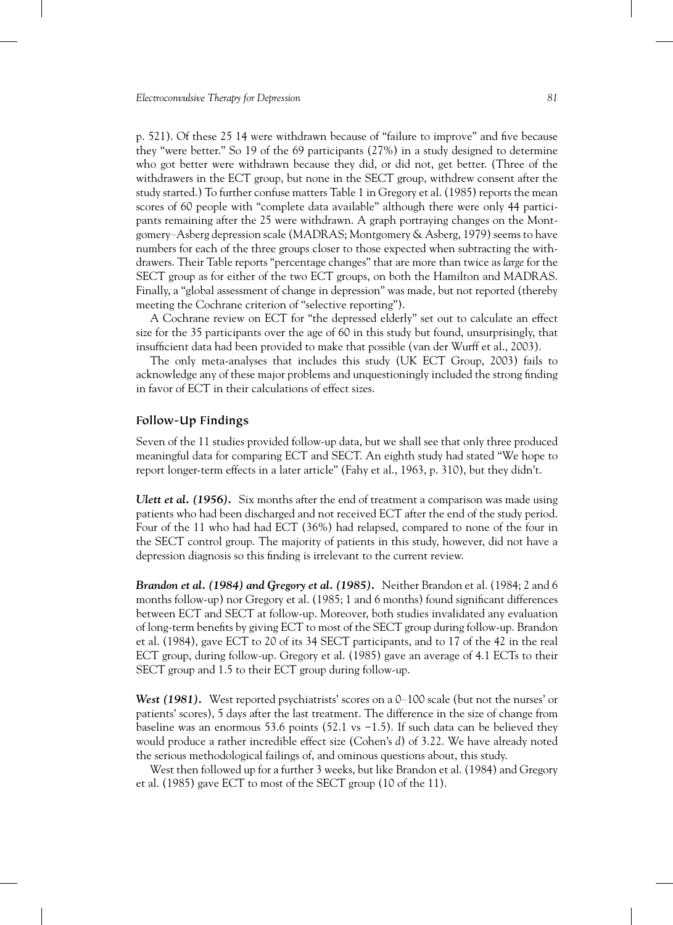p. 521). Of these 25 14 were withdrawn because of "failure to improve" and five because they "were better." So 19 of the 69 participants (27%) in a study designed to determine who got better were withdrawn because they did, or did not, get better. (Three of the withdrawers in the ECT group, but none in the SECT group, withdrew consent after the study started.) To further confuse matters Table 1 in Gregory et al. (1985) reports the mean scores of 60 people with "complete data available" although there were only 44 participants remaining after the 25 were withdrawn. A graph portraying changes on the Montgomery–Asberg depression scale (MADRAS; Montgomery & Asberg, 1979) seems to have numbers for each of the three groups closer to those expected when subtracting the withdrawers. Their Table reports "percentage changes" that are more than twice as *large* for the SECT group as for either of the two ECT groups, on both the Hamilton and MADRAS. Finally, a "global assessment of change in depression" was made, but not reported (thereby meeting the Cochrane criterion of "selective reporting").

A Cochrane review on ECT for "the depressed elderly" set out to calculate an effect size for the 35 participants over the age of 60 in this study but found, unsurprisingly, that insufficient data had been provided to make that possible (van der Wurff et al., 2003).

The only meta-analyses that includes this study (UK ECT Group, 2003) fails to acknowledge any of these major problems and unquestioningly included the strong finding in favor of ECT in their calculations of effect sizes.

#### **Follow-Up Findings**

Seven of the 11 studies provided follow-up data, but we shall see that only three produced meaningful data for comparing ECT and SECT. An eighth study had stated "We hope to report longer-term effects in a later article" (Fahy et al., 1963, p. 310), but they didn't.

*Ulett et al.* (1956). Six months after the end of treatment a comparison was made using patients who had been discharged and not received ECT after the end of the study period. Four of the 11 who had had ECT (36%) had relapsed, compared to none of the four in the SECT control group. The majority of patients in this study, however, did not have a depression diagnosis so this finding is irrelevant to the current review.

*Brandon et al. (1984) and Gregory et al. (1985).* Neither Brandon et al. (1984; 2 and 6 months follow-up) nor Gregory et al. (1985; 1 and 6 months) found significant differences between ECT and SECT at follow-up. Moreover, both studies invalidated any evaluation of long-term benefits by giving ECT to most of the SECT group during follow-up. Brandon et al. (1984), gave ECT to 20 of its 34 SECT participants, and to 17 of the 42 in the real ECT group, during follow-up. Gregory et al. (1985) gave an average of 4.1 ECTs to their SECT group and 1.5 to their ECT group during follow-up.

*West* (1981). West reported psychiatrists' scores on a 0–100 scale (but not the nurses' or patients' scores), 5 days after the last treatment. The difference in the size of change from baseline was an enormous 53.6 points (52.1 vs −1.5). If such data can be believed they would produce a rather incredible effect size (Cohen's *d*) of 3.22. We have already noted the serious methodological failings of, and ominous questions about, this study.

West then followed up for a further 3 weeks, but like Brandon et al. (1984) and Gregory et al.  $(1985)$  gave ECT to most of the SECT group  $(10 \text{ of the } 11)$ .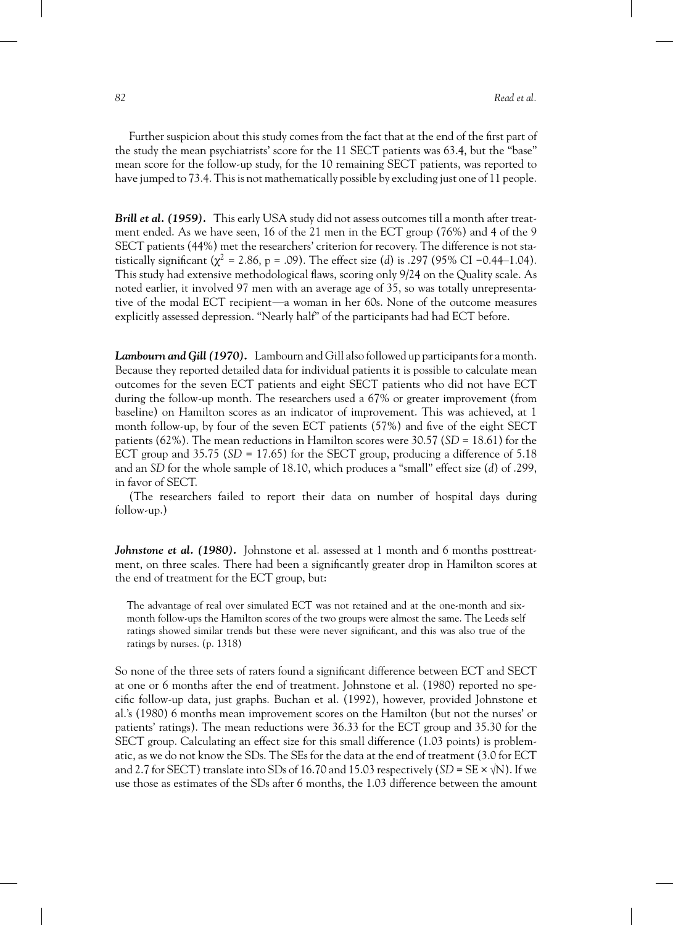Further suspicion about this study comes from the fact that at the end of the first part of the study the mean psychiatrists' score for the 11 SECT patients was 63.4, but the "base" mean score for the follow-up study, for the 10 remaining SECT patients, was reported to have jumped to 73.4. This is not mathematically possible by excluding just one of 11 people.

*Brill et al. (1959).* This early USA study did not assess outcomes till a month after treatment ended. As we have seen, 16 of the 21 men in the ECT group (76%) and 4 of the 9 SECT patients (44%) met the researchers' criterion for recovery. The difference is not statistically significant ( $\chi^2$  = 2.86, p = .09). The effect size (*d*) is .297 (95% CI −0.44–1.04). This study had extensive methodological flaws, scoring only 9/24 on the Quality scale. As noted earlier, it involved 97 men with an average age of 35, so was totally unrepresentative of the modal ECT recipient—a woman in her 60s. None of the outcome measures explicitly assessed depression. "Nearly half" of the participants had had ECT before.

Lambourn and Gill (1970). Lambourn and Gill also followed up participants for a month. Because they reported detailed data for individual patients it is possible to calculate mean outcomes for the seven ECT patients and eight SECT patients who did not have ECT during the follow-up month. The researchers used a 67% or greater improvement (from baseline) on Hamilton scores as an indicator of improvement. This was achieved, at 1 month follow-up, by four of the seven ECT patients (57%) and five of the eight SECT patients (62%). The mean reductions in Hamilton scores were 30.57 (*SD* = 18.61) for the ECT group and  $35.75$  (*SD* = 17.65) for the SECT group, producing a difference of  $5.18$ and an *SD* for the whole sample of 18.10, which produces a "small" effect size (*d*) of .299, in favor of SECT.

(The researchers failed to report their data on number of hospital days during follow-up.)

*Johnstone et al.* (1980). Johnstone et al. assessed at 1 month and 6 months posttreatment, on three scales. There had been a significantly greater drop in Hamilton scores at the end of treatment for the ECT group, but:

The advantage of real over simulated ECT was not retained and at the one-month and sixmonth follow-ups the Hamilton scores of the two groups were almost the same. The Leeds self ratings showed similar trends but these were never significant, and this was also true of the ratings by nurses. (p. 1318)

So none of the three sets of raters found a significant difference between ECT and SECT at one or 6 months after the end of treatment. Johnstone et al. (1980) reported no specific follow-up data, just graphs. Buchan et al. (1992), however, provided Johnstone et al.'s (1980) 6 months mean improvement scores on the Hamilton (but not the nurses' or patients' ratings). The mean reductions were 36.33 for the ECT group and 35.30 for the SECT group. Calculating an effect size for this small difference (1.03 points) is problematic, as we do not know the SDs. The SEs for the data at the end of treatment (3.0 for ECT and 2.7 for SECT) translate into SDs of 16.70 and 15.03 respectively  $(SD = SE \times \sqrt{N})$ . If we use those as estimates of the SDs after 6 months, the 1.03 difference between the amount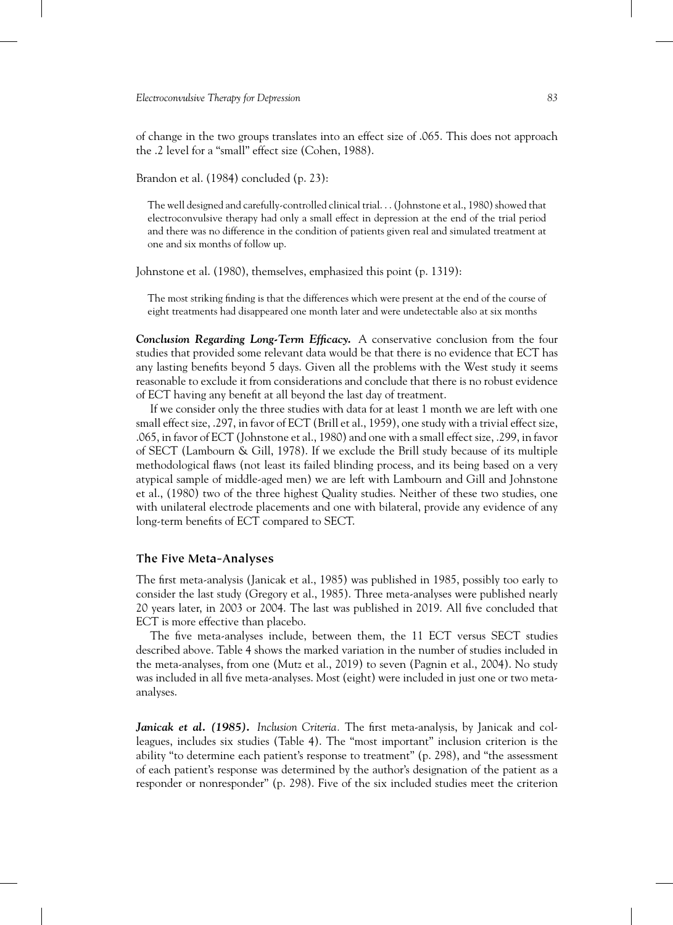of change in the two groups translates into an effect size of .065. This does not approach the .2 level for a "small" effect size (Cohen, 1988).

Brandon et al. (1984) concluded (p. 23):

The well designed and carefully-controlled clinical trial. . . (Johnstone et al., 1980) showed that electroconvulsive therapy had only a small effect in depression at the end of the trial period and there was no difference in the condition of patients given real and simulated treatment at one and six months of follow up.

Johnstone et al. (1980), themselves, emphasized this point (p. 1319):

The most striking finding is that the differences which were present at the end of the course of eight treatments had disappeared one month later and were undetectable also at six months

*Conclusion Regarding Long-Term Efficacy.* A conservative conclusion from the four studies that provided some relevant data would be that there is no evidence that ECT has any lasting benefits beyond 5 days. Given all the problems with the West study it seems reasonable to exclude it from considerations and conclude that there is no robust evidence of ECT having any benefit at all beyond the last day of treatment.

If we consider only the three studies with data for at least 1 month we are left with one small effect size, .297, in favor of ECT (Brill et al., 1959), one study with a trivial effect size, .065, in favor of ECT (Johnstone et al., 1980) and one with a small effect size, .299, in favor of SECT (Lambourn & Gill, 1978). If we exclude the Brill study because of its multiple methodological flaws (not least its failed blinding process, and its being based on a very atypical sample of middle-aged men) we are left with Lambourn and Gill and Johnstone et al., (1980) two of the three highest Quality studies. Neither of these two studies, one with unilateral electrode placements and one with bilateral, provide any evidence of any long-term benefits of ECT compared to SECT.

#### **The Five Meta-Analyses**

The first meta-analysis (Janicak et al., 1985) was published in 1985, possibly too early to consider the last study (Gregory et al., 1985). Three meta-analyses were published nearly 20 years later, in 2003 or 2004. The last was published in 2019. All five concluded that ECT is more effective than placebo.

The five meta-analyses include, between them, the 11 ECT versus SECT studies described above. Table 4 shows the marked variation in the number of studies included in the meta-analyses, from one (Mutz et al., 2019) to seven (Pagnin et al., 2004). No study was included in all five meta-analyses. Most (eight) were included in just one or two metaanalyses.

*Janicak et al. (1985). Inclusion Criteria.* The first meta-analysis, by Janicak and colleagues, includes six studies (Table 4). The "most important" inclusion criterion is the ability "to determine each patient's response to treatment" (p. 298), and "the assessment of each patient's response was determined by the author's designation of the patient as a responder or nonresponder" (p. 298). Five of the six included studies meet the criterion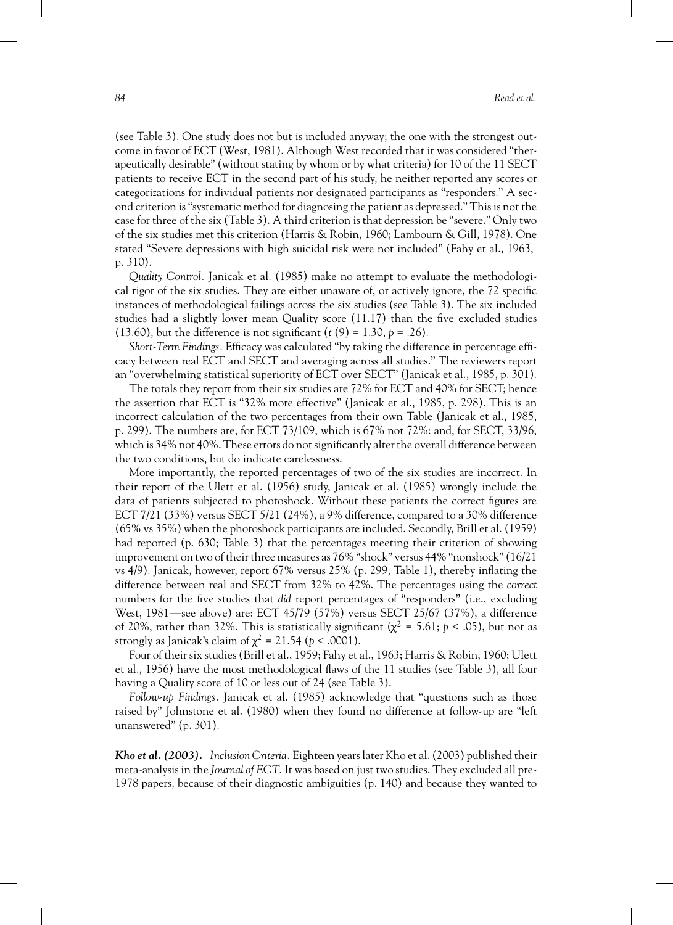(see Table 3). One study does not but is included anyway; the one with the strongest outcome in favor of ECT (West, 1981). Although West recorded that it was considered "therapeutically desirable" (without stating by whom or by what criteria) for 10 of the 11 SECT patients to receive ECT in the second part of his study, he neither reported any scores or categorizations for individual patients nor designated participants as "responders." A second criterion is "systematic method for diagnosing the patient as depressed." This is not the case for three of the six (Table 3). A third criterion is that depression be "severe." Only two of the six studies met this criterion (Harris & Robin, 1960; Lambourn & Gill, 1978). One stated "Severe depressions with high suicidal risk were not included" (Fahy et al., 1963, p. 310).

*Quality Control.* Janicak et al. (1985) make no attempt to evaluate the methodological rigor of the six studies. They are either unaware of, or actively ignore, the 72 specific instances of methodological failings across the six studies (see Table 3). The six included studies had a slightly lower mean Quality score (11.17) than the five excluded studies (13.60), but the difference is not significant  $(t(9) = 1.30, p = .26)$ .

*Short-Term Findings.* Efficacy was calculated "by taking the difference in percentage efficacy between real ECT and SECT and averaging across all studies." The reviewers report an "overwhelming statistical superiority of ECT over SECT" (Janicak et al., 1985, p. 301).

The totals they report from their six studies are 72% for ECT and 40% for SECT; hence the assertion that ECT is "32% more effective" (Janicak et al., 1985, p. 298). This is an incorrect calculation of the two percentages from their own Table (Janicak et al., 1985, p. 299). The numbers are, for ECT 73/109, which is 67% not 72%: and, for SECT, 33/96, which is 34% not 40%. These errors do not significantly alter the overall difference between the two conditions, but do indicate carelessness.

More importantly, the reported percentages of two of the six studies are incorrect. In their report of the Ulett et al. (1956) study, Janicak et al. (1985) wrongly include the data of patients subjected to photoshock. Without these patients the correct figures are ECT 7/21 (33%) versus SECT 5/21 (24%), a 9% difference, compared to a 30% difference (65% vs 35%) when the photoshock participants are included. Secondly, Brill et al. (1959) had reported (p. 630; Table 3) that the percentages meeting their criterion of showing improvement on two of their three measures as 76% "shock" versus 44% "nonshock" (16/21 vs 4/9). Janicak, however, report 67% versus 25% (p. 299; Table 1), thereby inflating the difference between real and SECT from 32% to 42%. The percentages using the *correct* numbers for the five studies that *did* report percentages of "responders" (i.e., excluding West, 1981—see above) are: ECT 45/79 (57%) versus SECT 25/67 (37%), a difference of 20%, rather than 32%. This is statistically significant ( $\chi^2$  = 5.61; *p* < .05), but not as strongly as Janicak's claim of  $\chi^2 = 21.54$  ( $p < .0001$ ).

Four of their six studies (Brill et al., 1959; Fahy et al., 1963; Harris & Robin, 1960; Ulett et al., 1956) have the most methodological flaws of the 11 studies (see Table 3), all four having a Quality score of 10 or less out of 24 (see Table 3).

*Follow-up Findings.* Janicak et al. (1985) acknowledge that "questions such as those raised by" Johnstone et al. (1980) when they found no difference at follow-up are "left unanswered" (p. 301).

*Kho et al. (2003). Inclusion Criteria.*Eighteen years later Kho et al. (2003) published their meta-analysis in the *Journal of ECT.* It was based on just two studies. They excluded all pre-1978 papers, because of their diagnostic ambiguities (p. 140) and because they wanted to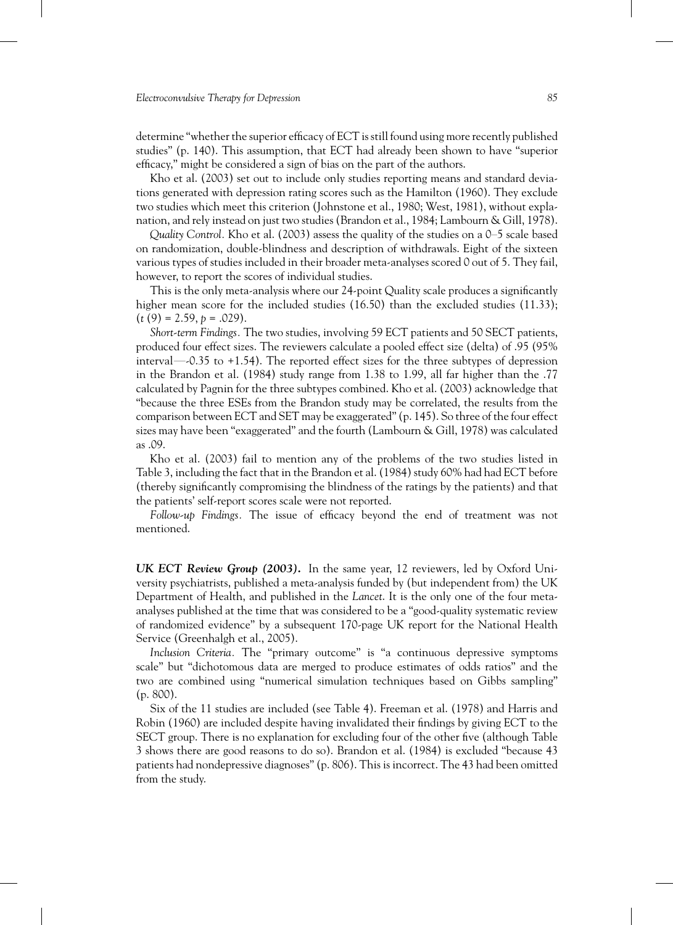determine "whether the superior efficacy of ECT is still found using more recently published studies" (p. 140). This assumption, that ECT had already been shown to have "superior efficacy," might be considered a sign of bias on the part of the authors.

Kho et al. (2003) set out to include only studies reporting means and standard deviations generated with depression rating scores such as the Hamilton (1960). They exclude two studies which meet this criterion (Johnstone et al., 1980; West, 1981), without explanation, and rely instead on just two studies (Brandon et al., 1984; Lambourn & Gill, 1978).

*Quality Control.* Kho et al. (2003) assess the quality of the studies on a 0–5 scale based on randomization, double-blindness and description of withdrawals. Eight of the sixteen various types of studies included in their broader meta-analyses scored 0 out of 5. They fail, however, to report the scores of individual studies.

This is the only meta-analysis where our 24-point Quality scale produces a significantly higher mean score for the included studies (16.50) than the excluded studies (11.33);  $(t (9) = 2.59, p = .029).$ 

*Short-term Findings.* The two studies, involving 59 ECT patients and 50 SECT patients, produced four effect sizes. The reviewers calculate a pooled effect size (delta) of .95 (95% interval—-0.35 to +1.54). The reported effect sizes for the three subtypes of depression in the Brandon et al. (1984) study range from 1.38 to 1.99, all far higher than the .77 calculated by Pagnin for the three subtypes combined. Kho et al. (2003) acknowledge that "because the three ESEs from the Brandon study may be correlated, the results from the comparison between ECT and SET may be exaggerated" (p. 145). So three of the four effect sizes may have been "exaggerated" and the fourth (Lambourn & Gill, 1978) was calculated as .09.

Kho et al. (2003) fail to mention any of the problems of the two studies listed in Table 3, including the fact that in the Brandon et al. (1984) study 60% had had ECT before (thereby significantly compromising the blindness of the ratings by the patients) and that the patients' self-report scores scale were not reported.

*Follow-up Findings.* The issue of efficacy beyond the end of treatment was not mentioned.

*UK ECT Review Group (2003).* In the same year, 12 reviewers, led by Oxford University psychiatrists, published a meta-analysis funded by (but independent from) the UK Department of Health, and published in the *Lancet*. It is the only one of the four metaanalyses published at the time that was considered to be a "good-quality systematic review of randomized evidence" by a subsequent 170-page UK report for the National Health Service (Greenhalgh et al., 2005).

*Inclusion Criteria.* The "primary outcome" is "a continuous depressive symptoms scale" but "dichotomous data are merged to produce estimates of odds ratios" and the two are combined using "numerical simulation techniques based on Gibbs sampling" (p. 800).

Six of the 11 studies are included (see Table 4). Freeman et al. (1978) and Harris and Robin (1960) are included despite having invalidated their findings by giving ECT to the SECT group. There is no explanation for excluding four of the other five (although Table 3 shows there are good reasons to do so). Brandon et al. (1984) is excluded "because 43 patients had nondepressive diagnoses" (p. 806). This is incorrect. The 43 had been omitted from the study.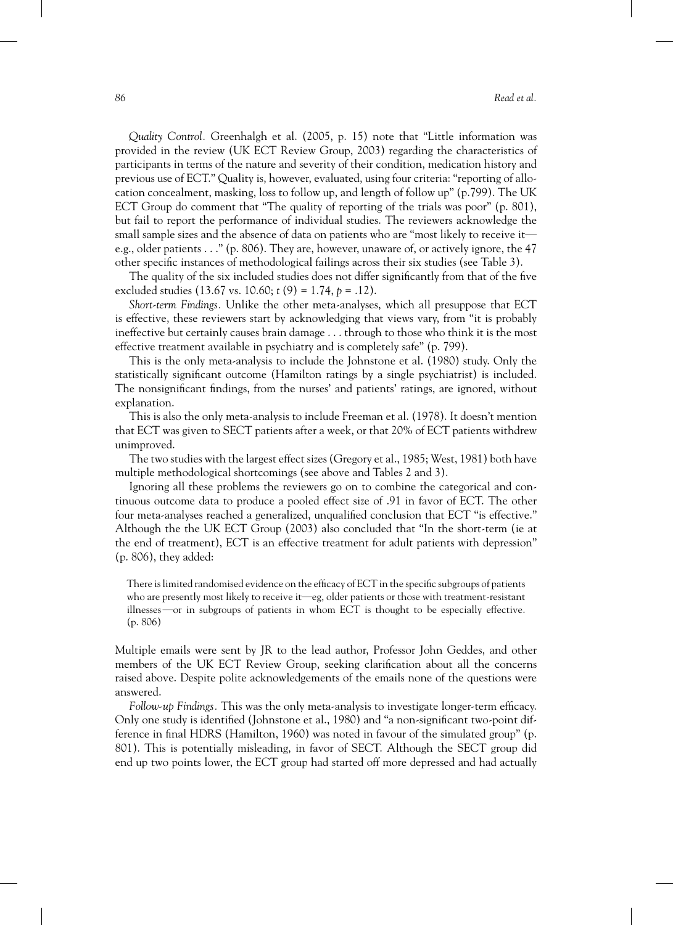*Quality Control.* Greenhalgh et al. (2005, p. 15) note that "Little information was provided in the review (UK ECT Review Group, 2003) regarding the characteristics of participants in terms of the nature and severity of their condition, medication history and previous use of ECT." Quality is, however, evaluated, using four criteria: "reporting of allocation concealment, masking, loss to follow up, and length of follow up" (p.799). The UK ECT Group do comment that "The quality of reporting of the trials was poor" (p. 801), but fail to report the performance of individual studies. The reviewers acknowledge the small sample sizes and the absence of data on patients who are "most likely to receive it e.g., older patients . . ." (p. 806). They are, however, unaware of, or actively ignore, the 47 other specific instances of methodological failings across their six studies (see Table 3).

The quality of the six included studies does not differ significantly from that of the five excluded studies (13.67 vs. 10.60; *t* (9) = 1.74, *p* = .12).

*Short-term Findings.* Unlike the other meta-analyses, which all presuppose that ECT is effective, these reviewers start by acknowledging that views vary, from "it is probably ineffective but certainly causes brain damage . . . through to those who think it is the most effective treatment available in psychiatry and is completely safe" (p. 799).

This is the only meta-analysis to include the Johnstone et al. (1980) study. Only the statistically significant outcome (Hamilton ratings by a single psychiatrist) is included. The nonsignificant findings, from the nurses' and patients' ratings, are ignored, without explanation.

This is also the only meta-analysis to include Freeman et al. (1978). It doesn't mention that ECT was given to SECT patients after a week, or that 20% of ECT patients withdrew unimproved.

The two studies with the largest effect sizes (Gregory et al., 1985; West, 1981) both have multiple methodological shortcomings (see above and Tables 2 and 3).

Ignoring all these problems the reviewers go on to combine the categorical and continuous outcome data to produce a pooled effect size of .91 in favor of ECT. The other four meta-analyses reached a generalized, unqualified conclusion that ECT "is effective." Although the the UK ECT Group (2003) also concluded that "In the short-term (ie at the end of treatment), ECT is an effective treatment for adult patients with depression" (p. 806), they added:

There is limited randomised evidence on the efficacy of ECT in the specific subgroups of patients who are presently most likely to receive it—eg, older patients or those with treatment-resistant illnesses—or in subgroups of patients in whom ECT is thought to be especially effective. (p. 806)

Multiple emails were sent by JR to the lead author, Professor John Geddes, and other members of the UK ECT Review Group, seeking clarification about all the concerns raised above. Despite polite acknowledgements of the emails none of the questions were answered.

*Follow-up Findings.* This was the only meta-analysis to investigate longer-term efficacy. Only one study is identified (Johnstone et al., 1980) and "a non-significant two-point difference in final HDRS (Hamilton, 1960) was noted in favour of the simulated group" (p. 801). This is potentially misleading, in favor of SECT. Although the SECT group did end up two points lower, the ECT group had started off more depressed and had actually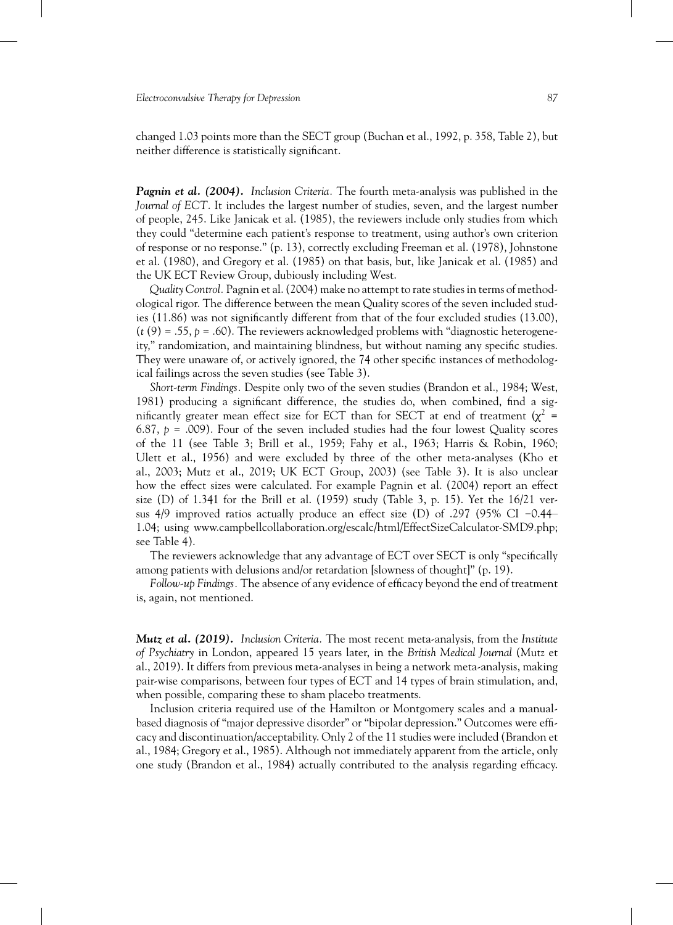changed 1.03 points more than the SECT group (Buchan et al., 1992, p. 358, Table 2), but neither difference is statistically significant.

*Pagnin et al. (2004). Inclusion Criteria.* The fourth meta-analysis was published in the *Journal of ECT*. It includes the largest number of studies, seven, and the largest number of people, 245. Like Janicak et al. (1985), the reviewers include only studies from which they could "determine each patient's response to treatment, using author's own criterion of response or no response." (p. 13), correctly excluding Freeman et al. (1978), Johnstone et al. (1980), and Gregory et al. (1985) on that basis, but, like Janicak et al. (1985) and the UK ECT Review Group, dubiously including West.

*Quality Control.*Pagnin et al. (2004) makeno attempt to rate studies in terms of methodological rigor. The difference between the mean Quality scores of the seven included studies (11.86) was not significantly different from that of the four excluded studies (13.00),  $(t(9) = .55, p = .60)$ . The reviewers acknowledged problems with "diagnostic heterogeneity," randomization, and maintaining blindness, but without naming any specific studies. They were unaware of, or actively ignored, the 74 other specific instances of methodological failings across the seven studies (see Table 3).

*Short-term Findings.* Despite only two of the seven studies (Brandon et al., 1984; West, 1981) producing a significant difference, the studies do, when combined, find a significantly greater mean effect size for ECT than for SECT at end of treatment ( $\chi^2$  = 6.87,  $p = .009$ ). Four of the seven included studies had the four lowest Quality scores of the 11 (see Table 3; Brill et al., 1959; Fahy et al., 1963; Harris & Robin, 1960; Ulett et al., 1956) and were excluded by three of the other meta-analyses (Kho et al., 2003; Mutz et al., 2019; UK ECT Group, 2003) (see Table 3). It is also unclear how the effect sizes were calculated. For example Pagnin et al. (2004) report an effect size (D) of  $1.341$  for the Brill et al. (1959) study (Table 3, p. 15). Yet the  $16/21$  versus 4/9 improved ratios actually produce an effect size (D) of .297 (95% CI −0.44– 1.04; using [www.campbellcollaboration.org/escalc/html/EffectSizeCalculator-SMD9.php;](http://www.campbellcollaboration.org/escalc/html/EffectSizeCalculator-SMD9.php) see Table 4).

The reviewers acknowledge that any advantage of ECT over SECT is only "specifically among patients with delusions and/or retardation [slowness of thought]" (p. 19).

*Follow-up Findings.* The absence of any evidence of efficacy beyond the end of treatment is, again, not mentioned.

*Mutz et al. (2019). Inclusion Criteria.* The most recent meta-analysis, from the *Institute of Psychiatry* in London, appeared 15 years later, in the *British Medical Journal* (Mutz et al., 2019). It differs from previous meta-analyses in being a network meta-analysis, making pair-wise comparisons, between four types of ECT and 14 types of brain stimulation, and, when possible, comparing these to sham placebo treatments.

Inclusion criteria required use of the Hamilton or Montgomery scales and a manualbased diagnosis of "major depressive disorder" or "bipolar depression." Outcomes were efficacy and discontinuation/acceptability. Only 2 of the 11 studies were included (Brandon et al., 1984; Gregory et al., 1985). Although not immediately apparent from the article, only one study (Brandon et al., 1984) actually contributed to the analysis regarding efficacy.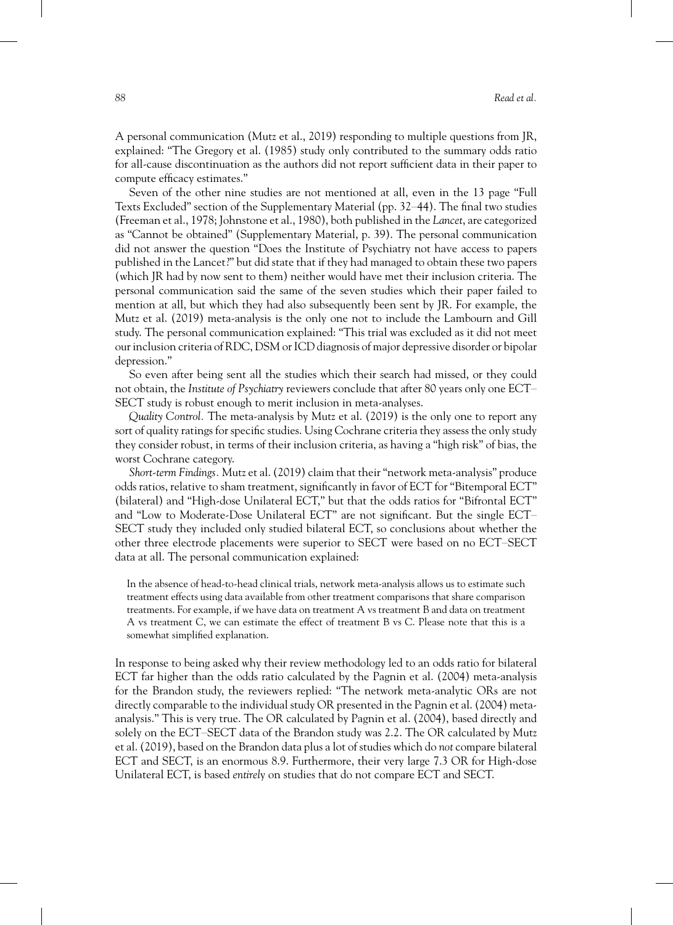A personal communication (Mutz et al., 2019) responding to multiple questions from JR, explained: "The Gregory et al. (1985) study only contributed to the summary odds ratio for all-cause discontinuation as the authors did not report sufficient data in their paper to compute efficacy estimates."

Seven of the other nine studies are not mentioned at all, even in the 13 page "Full Texts Excluded" section of the Supplementary Material (pp. 32–44). The final two studies (Freeman et al., 1978; Johnstone et al., 1980), both published in the*Lancet*, are categorized as "Cannot be obtained" (Supplementary Material, p. 39). The personal communication did not answer the question "Does the Institute of Psychiatry not have access to papers published in the Lancet?" but did state that if they had managed to obtain these two papers (which JR had by now sent to them) neither would have met their inclusion criteria. The personal communication said the same of the seven studies which their paper failed to mention at all, but which they had also subsequently been sent by JR. For example, the Mutz et al. (2019) meta-analysis is the only one not to include the Lambourn and Gill study. The personal communication explained: "This trial was excluded as it did not meet our inclusion criteria of RDC, DSM or ICD diagnosis of major depressive disorder or bipolar depression."

So even after being sent all the studies which their search had missed, or they could not obtain, the *Institute of Psychiatry* reviewers conclude that after 80 years only one ECT– SECT study is robust enough to merit inclusion in meta-analyses.

*Quality Control.* The meta-analysis by Mutz et al. (2019) is the only one to report any sort of quality ratings for specific studies. Using Cochrane criteria they assess the only study they consider robust, in terms of their inclusion criteria, as having a "high risk" of bias, the worst Cochrane category.

*Short-term Findings.* Mutz et al. (2019) claim that their "network meta-analysis" produce odds ratios, relative to sham treatment, significantly in favor of ECT for "Bitemporal ECT" (bilateral) and "High-dose Unilateral ECT," but that the odds ratios for "Bifrontal ECT" and "Low to Moderate-Dose Unilateral ECT" are not significant. But the single ECT– SECT study they included only studied bilateral ECT, so conclusions about whether the other three electrode placements were superior to SECT were based on no ECT–SECT data at all. The personal communication explained:

In the absence of head-to-head clinical trials, network meta-analysis allows us to estimate such treatment effects using data available from other treatment comparisons that share comparison treatments. For example, if we have data on treatment A vs treatment B and data on treatment A vs treatment C, we can estimate the effect of treatment B vs C. Please note that this is a somewhat simplified explanation.

In response to being asked why their review methodology led to an odds ratio for bilateral ECT far higher than the odds ratio calculated by the Pagnin et al. (2004) meta-analysis for the Brandon study, the reviewers replied: "The network meta-analytic ORs are not directly comparable to the individual study OR presented in the Pagnin et al. (2004) metaanalysis." This is very true. The OR calculated by Pagnin et al. (2004), based directly and solely on the ECT–SECT data of the Brandon study was 2.2. The OR calculated by Mutz et al. (2019), based on the Brandon data plus a lot of studies which do *not* compare bilateral ECT and SECT, is an enormous 8.9. Furthermore, their very large 7.3 OR for High-dose Unilateral ECT, is based *entirel*y on studies that do not compare ECT and SECT.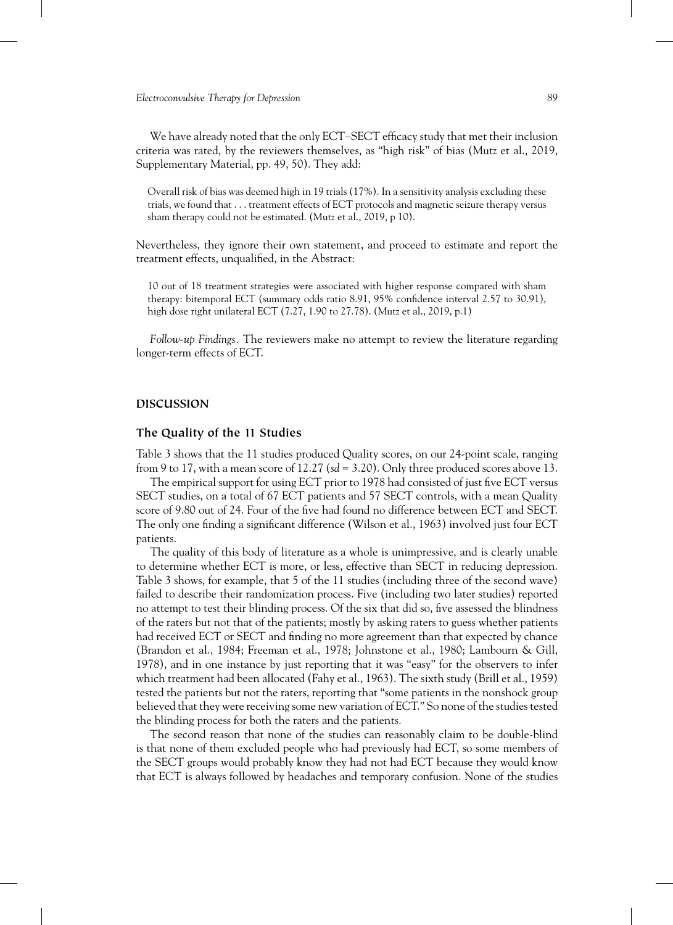We have already noted that the only ECT–SECT efficacy study that met their inclusion criteria was rated, by the reviewers themselves, as "high risk" of bias (Mutz et al., 2019, Supplementary Material, pp. 49, 50). They add:

Overall risk of bias was deemed high in 19 trials (17%). In a sensitivity analysis excluding these trials, we found that . . . treatment effects of ECT protocols and magnetic seizure therapy versus sham therapy could not be estimated. (Mutz et al., 2019, p 10).

Nevertheless, they ignore their own statement, and proceed to estimate and report the treatment effects, unqualified, in the Abstract:

10 out of 18 treatment strategies were associated with higher response compared with sham therapy: bitemporal ECT (summary odds ratio 8.91, 95% confidence interval 2.57 to 30.91), high dose right unilateral ECT (7.27, 1.90 to 27.78). (Mutz et al., 2019, p.1)

*Follow-up Findings.* The reviewers make no attempt to review the literature regarding longer-term effects of ECT.

#### **DISCUSSION**

# **The Quality of the 11 Studies**

Table 3 shows that the 11 studies produced Quality scores, on our 24-point scale, ranging from 9 to 17, with a mean score of 12.27 (*sd* = 3.20). Only three produced scores above 13.

The empirical support for using ECT prior to 1978 had consisted of just five ECT versus SECT studies, on a total of 67 ECT patients and 57 SECT controls, with a mean Quality score of 9.80 out of 24. Four of the five had found no difference between ECT and SECT. The only one finding a significant difference (Wilson et al., 1963) involved just four ECT patients.

The quality of this body of literature as a whole is unimpressive, and is clearly unable to determine whether ECT is more, or less, effective than SECT in reducing depression. Table 3 shows, for example, that 5 of the 11 studies (including three of the second wave) failed to describe their randomization process. Five (including two later studies) reported no attempt to test their blinding process. Of the six that did so, five assessed the blindness of the raters but not that of the patients; mostly by asking raters to guess whether patients had received ECT or SECT and finding no more agreement than that expected by chance (Brandon et al., 1984; Freeman et al., 1978; Johnstone et al., 1980; Lambourn & Gill, 1978), and in one instance by just reporting that it was "easy" for the observers to infer which treatment had been allocated (Fahy et al., 1963). The sixth study (Brill et al., 1959) tested the patients but not the raters, reporting that "some patients in the nonshock group believed that they were receiving some new variation of ECT." So none of the studies tested the blinding process for both the raters and the patients.

The second reason that none of the studies can reasonably claim to be double-blind is that none of them excluded people who had previously had ECT, so some members of the SECT groups would probably know they had not had ECT because they would know that ECT is always followed by headaches and temporary confusion. None of the studies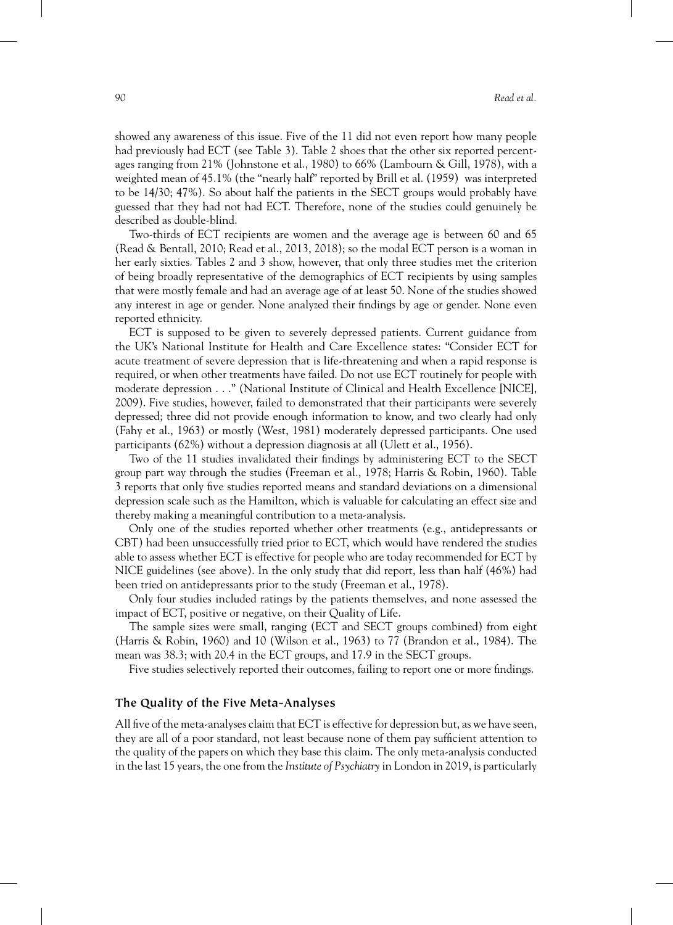showed any awareness of this issue. Five of the 11 did not even report how many people had previously had ECT (see Table 3). Table 2 shoes that the other six reported percentages ranging from 21% (Johnstone et al., 1980) to 66% (Lambourn & Gill, 1978), with a weighted mean of 45.1% (the "nearly half" reported by Brill et al. (1959) was interpreted to be 14/30; 47%). So about half the patients in the SECT groups would probably have guessed that they had not had ECT. Therefore, none of the studies could genuinely be described as double-blind.

Two-thirds of ECT recipients are women and the average age is between 60 and 65 (Read & Bentall, 2010; Read et al., 2013, 2018); so the modal ECT person is a woman in her early sixties. Tables 2 and 3 show, however, that only three studies met the criterion of being broadly representative of the demographics of ECT recipients by using samples that were mostly female and had an average age of at least 50. None of the studies showed any interest in age or gender. None analyzed their findings by age or gender. None even reported ethnicity.

ECT is supposed to be given to severely depressed patients. Current guidance from the UK's National Institute for Health and Care Excellence states: "Consider ECT for acute treatment of severe depression that is life‐threatening and when a rapid response is required, or when other treatments have failed. Do not use ECT routinely for people with moderate depression . . ." (National Institute of Clinical and Health Excellence [NICE], 2009). Five studies, however, failed to demonstrated that their participants were severely depressed; three did not provide enough information to know, and two clearly had only (Fahy et al., 1963) or mostly (West, 1981) moderately depressed participants. One used participants (62%) without a depression diagnosis at all (Ulett et al., 1956).

Two of the 11 studies invalidated their findings by administering ECT to the SECT group part way through the studies (Freeman et al., 1978; Harris & Robin, 1960). Table 3 reports that only five studies reported means and standard deviations on a dimensional depression scale such as the Hamilton, which is valuable for calculating an effect size and thereby making a meaningful contribution to a meta-analysis.

Only one of the studies reported whether other treatments (e.g., antidepressants or CBT) had been unsuccessfully tried prior to ECT, which would have rendered the studies able to assess whether ECT is effective for people who are today recommended for ECT by NICE guidelines (see above). In the only study that did report, less than half (46%) had been tried on antidepressants prior to the study (Freeman et al., 1978).

Only four studies included ratings by the patients themselves, and none assessed the impact of ECT, positive or negative, on their Quality of Life.

The sample sizes were small, ranging (ECT and SECT groups combined) from eight (Harris & Robin, 1960) and 10 (Wilson et al., 1963) to 77 (Brandon et al., 1984). The mean was 38.3; with 20.4 in the ECT groups, and 17.9 in the SECT groups.

Five studies selectively reported their outcomes, failing to report one or more findings.

# **The Quality of the Five Meta-Analyses**

All five of the meta-analyses claim that ECT is effective for depression but, as we have seen, they are all of a poor standard, not least because none of them pay sufficient attention to the quality of the papers on which they base this claim. The only meta-analysis conducted in the last 15 years, the one from the *Institute of Psychiatry* in London in 2019, is particularly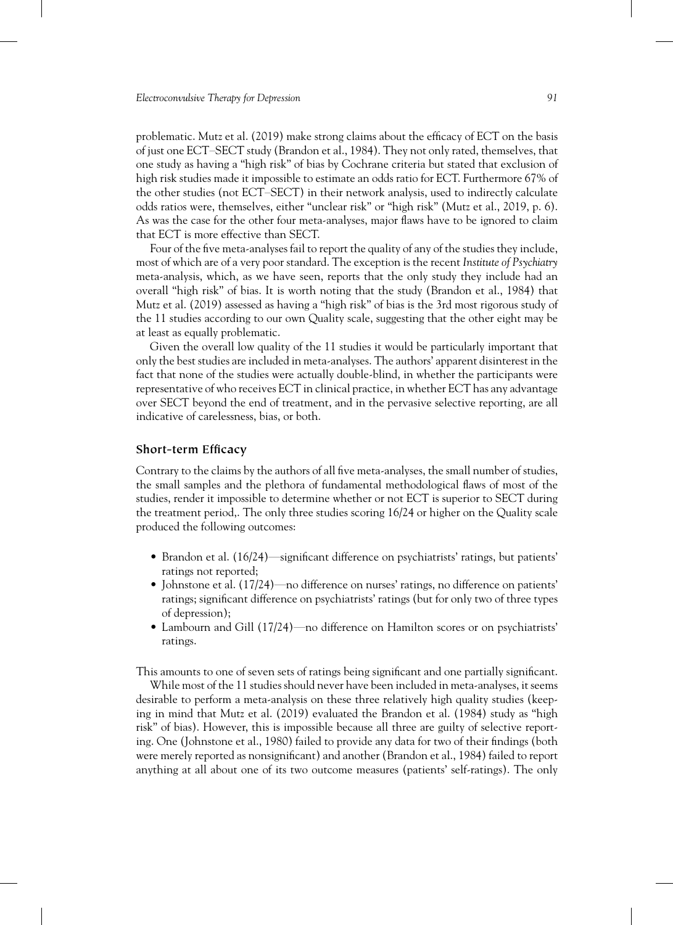problematic. Mutz et al. (2019) make strong claims about the efficacy of ECT on the basis of just one ECT–SECT study (Brandon et al., 1984). They not only rated, themselves, that one study as having a "high risk" of bias by Cochrane criteria but stated that exclusion of high risk studies made it impossible to estimate an odds ratio for ECT. Furthermore 67% of the other studies (not ECT–SECT) in their network analysis, used to indirectly calculate odds ratios were, themselves, either "unclear risk" or "high risk" (Mutz et al., 2019, p. 6). As was the case for the other four meta-analyses, major flaws have to be ignored to claim that ECT is more effective than SECT.

Four of the five meta-analyses fail to report the quality of any of the studies they include, most of which are of a very poor standard. The exception is the recent *Institute of Psychiatry* meta-analysis, which, as we have seen, reports that the only study they include had an overall "high risk" of bias. It is worth noting that the study (Brandon et al., 1984) that Mutz et al. (2019) assessed as having a "high risk" of bias is the 3rd most rigorous study of the 11 studies according to our own Quality scale, suggesting that the other eight may be at least as equally problematic.

Given the overall low quality of the 11 studies it would be particularly important that only the best studies are included in meta-analyses. The authors' apparent disinterest in the fact that none of the studies were actually double-blind, in whether the participants were representative of who receives ECT in clinical practice, in whether ECT has any advantage over SECT beyond the end of treatment, and in the pervasive selective reporting, are all indicative of carelessness, bias, or both.

## **Short-term Efficacy**

Contrary to the claims by the authors of all five meta-analyses, the small number of studies, the small samples and the plethora of fundamental methodological flaws of most of the studies, render it impossible to determine whether or not ECT is superior to SECT during the treatment period,. The only three studies scoring 16/24 or higher on the Quality scale produced the following outcomes:

- Brandon et al. (16/24)—significant difference on psychiatrists' ratings, but patients' ratings not reported;
- Johnstone et al. (17/24)—no difference on nurses' ratings, no difference on patients' ratings; significant difference on psychiatrists' ratings (but for only two of three types of depression);
- Lambourn and Gill (17/24)—no difference on Hamilton scores or on psychiatrists' ratings.

This amounts to one of seven sets of ratings being significant and one partially significant.

While most of the 11 studies should never have been included in meta-analyses, it seems desirable to perform a meta-analysis on these three relatively high quality studies (keeping in mind that Mutz et al. (2019) evaluated the Brandon et al. (1984) study as "high risk" of bias). However, this is impossible because all three are guilty of selective reporting. One (Johnstone et al., 1980) failed to provide any data for two of their findings (both were merely reported as nonsignificant) and another (Brandon et al., 1984) failed to report anything at all about one of its two outcome measures (patients' self-ratings). The only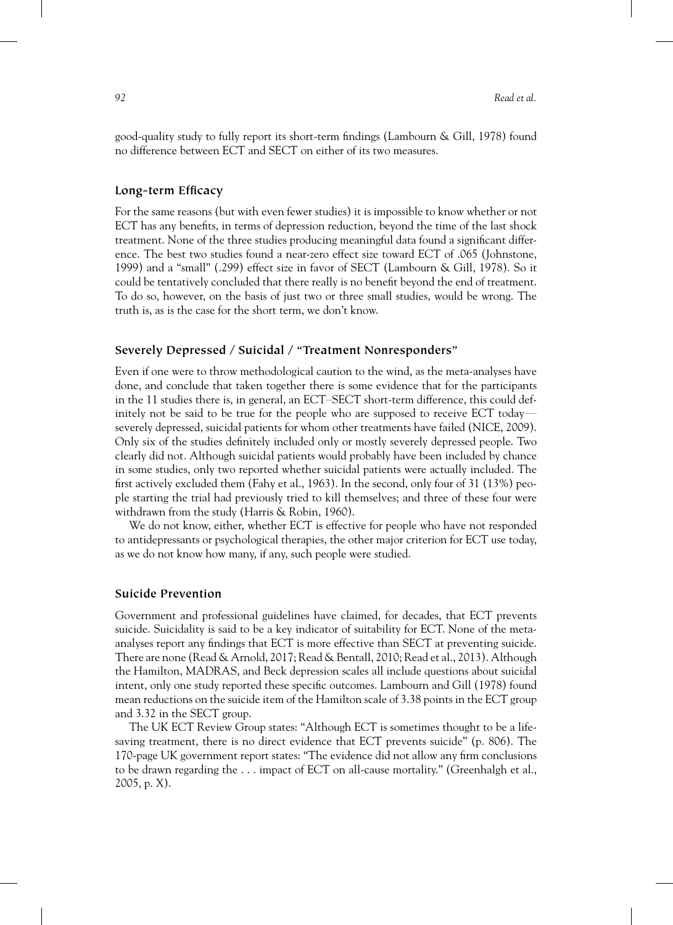good-quality study to fully report its short-term findings (Lambourn & Gill, 1978) found no difference between ECT and SECT on either of its two measures.

#### **Long-term Efficacy**

For the same reasons (but with even fewer studies) it is impossible to know whether or not ECT has any benefits, in terms of depression reduction, beyond the time of the last shock treatment. None of the three studies producing meaningful data found a significant difference. The best two studies found a near-zero effect size toward ECT of .065 (Johnstone, 1999) and a "small" (.299) effect size in favor of SECT (Lambourn & Gill, 1978). So it could be tentatively concluded that there really is no benefit beyond the end of treatment. To do so, however, on the basis of just two or three small studies, would be wrong. The truth is, as is the case for the short term, we don't know.

#### **Severely Depressed / Suicidal / "Treatment Nonresponders"**

Even if one were to throw methodological caution to the wind, as the meta-analyses have done, and conclude that taken together there is some evidence that for the participants in the 11 studies there is, in general, an ECT–SECT short-term difference, this could definitely not be said to be true for the people who are supposed to receive ECT today severely depressed, suicidal patients for whom other treatments have failed (NICE, 2009). Only six of the studies definitely included only or mostly severely depressed people. Two clearly did not. Although suicidal patients would probably have been included by chance in some studies, only two reported whether suicidal patients were actually included. The first actively excluded them (Fahy et al., 1963). In the second, only four of 31 (13%) people starting the trial had previously tried to kill themselves; and three of these four were withdrawn from the study (Harris & Robin, 1960).

We do not know, either, whether ECT is effective for people who have not responded to antidepressants or psychological therapies, the other major criterion for ECT use today, as we do not know how many, if any, such people were studied.

#### **Suicide Prevention**

Government and professional guidelines have claimed, for decades, that ECT prevents suicide. Suicidality is said to be a key indicator of suitability for ECT. None of the metaanalyses report any findings that ECT is more effective than SECT at preventing suicide. There are none (Read & Arnold, 2017; Read & Bentall, 2010; Read et al., 2013). Although the Hamilton, MADRAS, and Beck depression scales all include questions about suicidal intent, only one study reported these specific outcomes. Lambourn and Gill (1978) found mean reductions on the suicide item of the Hamilton scale of 3.38 points in the ECT group and 3.32 in the SECT group.

The UK ECT Review Group states: "Although ECT is sometimes thought to be a lifesaving treatment, there is no direct evidence that ECT prevents suicide" (p. 806). The 170-page UK government report states: "The evidence did not allow any firm conclusions to be drawn regarding the . . . impact of ECT on all-cause mortality." (Greenhalgh et al.,  $2005$ , p. X).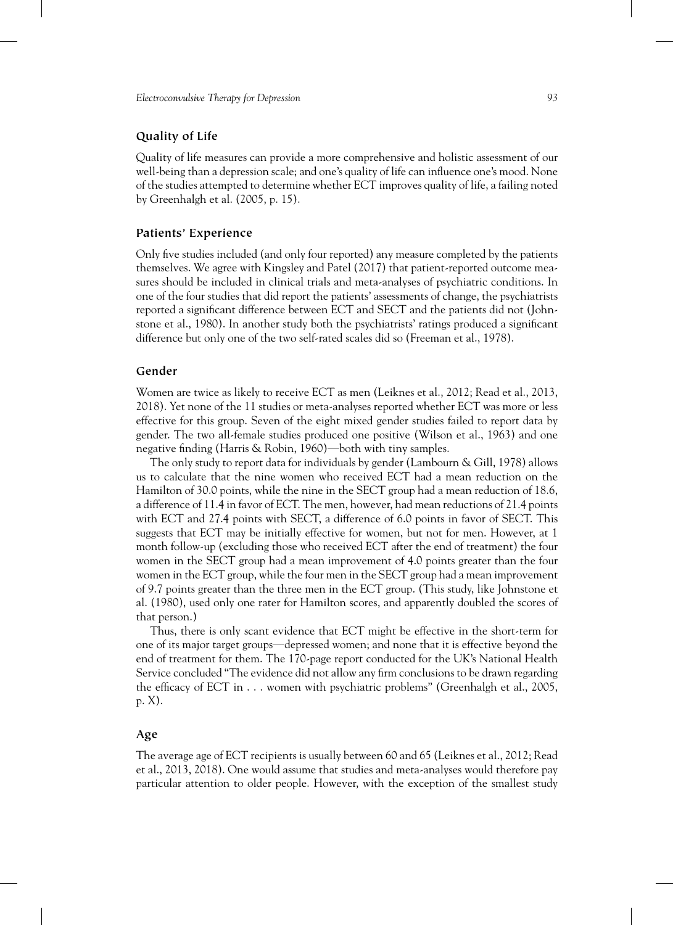# **Quality of Life**

Quality of life measures can provide a more comprehensive and holistic assessment of our well-being than a depression scale; and one's quality of life can influence one's mood. None of the studies attempted to determine whether ECT improves quality of life, a failing noted by Greenhalgh et al. (2005, p. 15).

## **Patients' Experience**

Only five studies included (and only four reported) any measure completed by the patients themselves. We agree with Kingsley and Patel (2017) that patient-reported outcome measures should be included in clinical trials and meta-analyses of psychiatric conditions. In one of the four studies that did report the patients' assessments of change, the psychiatrists reported a significant difference between ECT and SECT and the patients did not (Johnstone et al., 1980). In another study both the psychiatrists' ratings produced a significant difference but only one of the two self-rated scales did so (Freeman et al., 1978).

# **Gender**

Women are twice as likely to receive ECT as men (Leiknes et al., 2012; Read et al., 2013, 2018). Yet none of the 11 studies or meta-analyses reported whether ECT was more or less effective for this group. Seven of the eight mixed gender studies failed to report data by gender. The two all-female studies produced one positive (Wilson et al., 1963) and one negative finding (Harris & Robin, 1960)—both with tiny samples.

The only study to report data for individuals by gender (Lambourn & Gill, 1978) allows us to calculate that the nine women who received ECT had a mean reduction on the Hamilton of 30.0 points, while the nine in the SECT group had a mean reduction of 18.6, a difference of 11.4 in favor of ECT. The men, however, had mean reductions of 21.4 points with ECT and 27.4 points with SECT, a difference of 6.0 points in favor of SECT. This suggests that ECT may be initially effective for women, but not for men. However, at 1 month follow-up (excluding those who received ECT after the end of treatment) the four women in the SECT group had a mean improvement of 4.0 points greater than the four women in the ECT group, while the four men in the SECT group had a mean improvement of 9.7 points greater than the three men in the ECT group. (This study, like Johnstone et al. (1980), used only one rater for Hamilton scores, and apparently doubled the scores of that person.)

Thus, there is only scant evidence that ECT might be effective in the short-term for one of its major target groups—depressed women; and none that it is effective beyond the end of treatment for them. The 170-page report conducted for the UK's National Health Service concluded "The evidence did not allow any firm conclusions to be drawn regarding the efficacy of ECT in . . . women with psychiatric problems" (Greenhalgh et al., 2005, p. X).

## **Age**

The average age of ECT recipients is usually between 60 and 65 (Leiknes et al., 2012; Read et al., 2013, 2018). One would assume that studies and meta-analyses would therefore pay particular attention to older people. However, with the exception of the smallest study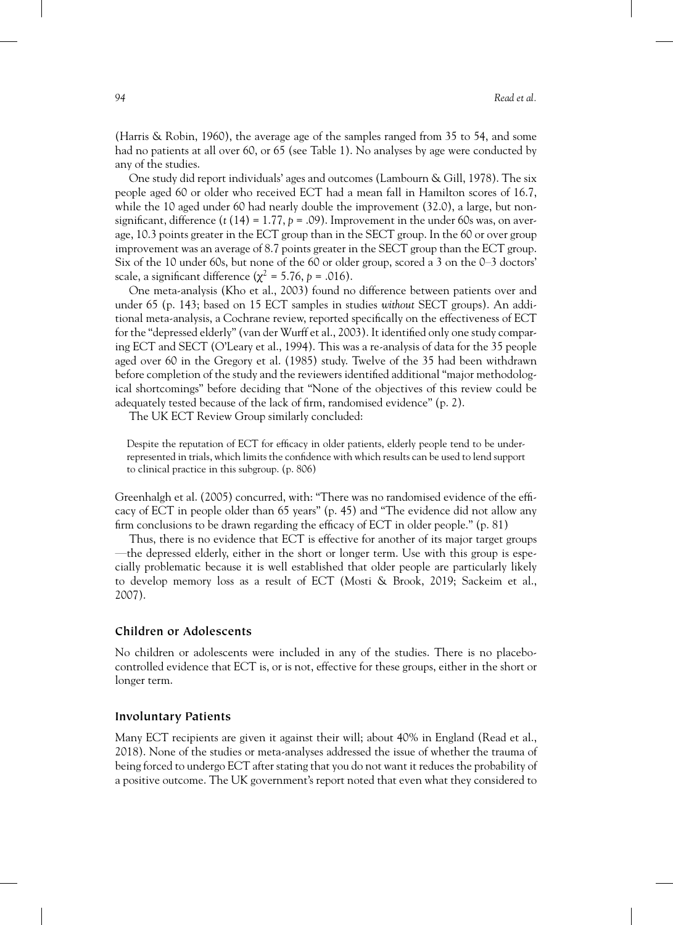(Harris & Robin, 1960), the average age of the samples ranged from 35 to 54, and some had no patients at all over 60, or 65 (see Table 1). No analyses by age were conducted by any of the studies.

One study did report individuals' ages and outcomes (Lambourn & Gill, 1978). The six people aged 60 or older who received ECT had a mean fall in Hamilton scores of 16.7, while the 10 aged under 60 had nearly double the improvement (32.0), a large, but nonsignificant, difference  $(t (14) = 1.77, p = .09)$ . Improvement in the under 60s was, on average, 10.3 points greater in the ECT group than in the SECT group. In the 60 or over group improvement was an average of 8.7 points greater in the SECT group than the ECT group. Six of the 10 under 60s, but none of the 60 or older group, scored a 3 on the 0–3 doctors' scale, a significant difference ( $\chi^2$  = 5.76, *p* = .016).

One meta-analysis (Kho et al., 2003) found no difference between patients over and under 65 (p. 143; based on 15 ECT samples in studies *without* SECT groups). An additional meta-analysis, a Cochrane review, reported specifically on the effectiveness of ECT for the "depressed elderly" (van der Wurff et al., 2003). It identified only one study comparing ECT and SECT (O'Leary et al., 1994). This was a re-analysis of data for the 35 people aged over 60 in the Gregory et al. (1985) study. Twelve of the 35 had been withdrawn before completion of the study and the reviewers identified additional "major methodological shortcomings" before deciding that "None of the objectives of this review could be adequately tested because of the lack of firm, randomised evidence" (p. 2).

The UK ECT Review Group similarly concluded:

Despite the reputation of ECT for efficacy in older patients, elderly people tend to be underrepresented in trials, which limits the confidence with which results can be used to lend support to clinical practice in this subgroup. (p. 806)

Greenhalgh et al. (2005) concurred, with: "There was no randomised evidence of the efficacy of ECT in people older than 65 years" (p. 45) and "The evidence did not allow any firm conclusions to be drawn regarding the efficacy of ECT in older people." (p. 81)

Thus, there is no evidence that ECT is effective for another of its major target groups —the depressed elderly, either in the short or longer term. Use with this group is especially problematic because it is well established that older people are particularly likely to develop memory loss as a result of ECT (Mosti & Brook, 2019; Sackeim et al., 2007).

#### **Children or Adolescents**

No children or adolescents were included in any of the studies. There is no placebocontrolled evidence that ECT is, or is not, effective for these groups, either in the short or longer term.

## **Involuntary Patients**

Many ECT recipients are given it against their will; about 40% in England (Read et al., 2018). None of the studies or meta-analyses addressed the issue of whether the trauma of being forced to undergo ECT after stating that you do not want it reduces the probability of a positive outcome. The UK government's report noted that even what they considered to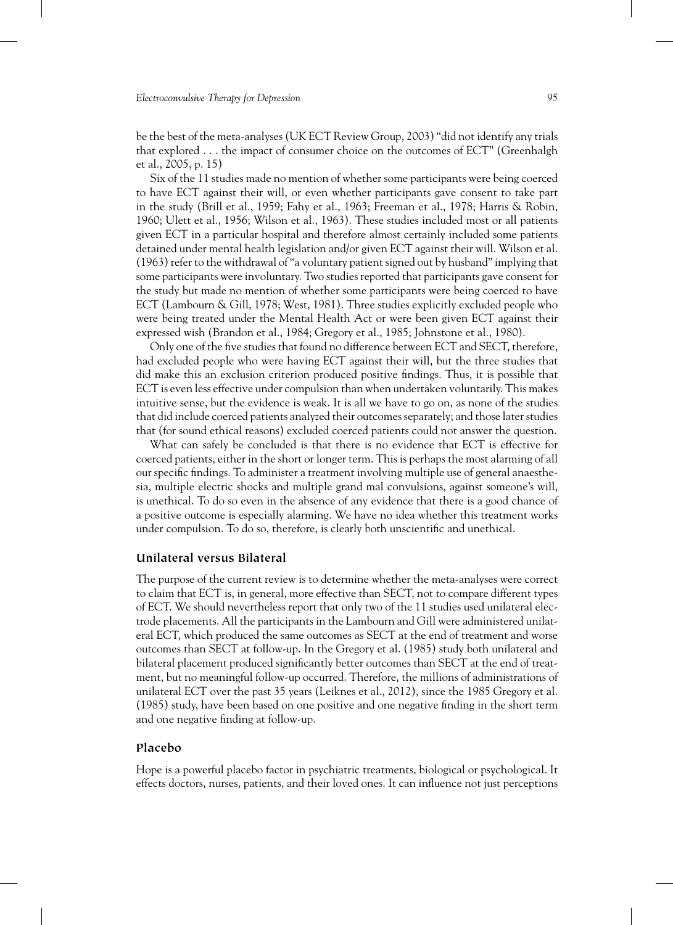be the best of the meta-analyses (UK ECT Review Group, 2003) "did not identify any trials that explored . . . the impact of consumer choice on the outcomes of ECT" (Greenhalgh et al., 2005, p. 15)

Six of the 11 studies made no mention of whether some participants were being coerced to have ECT against their will, or even whether participants gave consent to take part in the study (Brill et al., 1959; Fahy et al., 1963; Freeman et al., 1978; Harris & Robin, 1960; Ulett et al., 1956; Wilson et al., 1963). These studies included most or all patients given ECT in a particular hospital and therefore almost certainly included some patients detained under mental health legislation and/or given ECT against their will. Wilson et al. (1963) refer to the withdrawal of "a voluntary patient signed out by husband" implying that some participants were involuntary. Two studies reported that participants gave consent for the study but made no mention of whether some participants were being coerced to have ECT (Lambourn & Gill, 1978; West, 1981). Three studies explicitly excluded people who were being treated under the Mental Health Act or were been given ECT against their expressed wish (Brandon et al., 1984; Gregory et al., 1985; Johnstone et al., 1980).

Only one of the five studies that found no difference between ECT and SECT, therefore, had excluded people who were having ECT against their will, but the three studies that did make this an exclusion criterion produced positive findings. Thus, it is possible that ECT is even less effective under compulsion than when undertaken voluntarily. This makes intuitive sense, but the evidence is weak. It is all we have to go on, as none of the studies that did include coerced patients analyzed their outcomes separately; and those later studies that (for sound ethical reasons) excluded coerced patients could not answer the question.

What can safely be concluded is that there is no evidence that ECT is effective for coerced patients, either in the short or longer term. This is perhaps the most alarming of all our specific findings. To administer a treatment involving multiple use of general anaesthesia, multiple electric shocks and multiple grand mal convulsions, against someone's will, is unethical. To do so even in the absence of any evidence that there is a good chance of a positive outcome is especially alarming. We have no idea whether this treatment works under compulsion. To do so, therefore, is clearly both unscientific and unethical.

# **Unilateral versus Bilateral**

The purpose of the current review is to determine whether the meta-analyses were correct to claim that ECT is, in general, more effective than SECT, not to compare different types of ECT. We should nevertheless report that only two of the 11 studies used unilateral electrode placements. All the participants in the Lambourn and Gill were administered unilateral ECT, which produced the same outcomes as SECT at the end of treatment and worse outcomes than SECT at follow-up. In the Gregory et al. (1985) study both unilateral and bilateral placement produced significantly better outcomes than SECT at the end of treatment, but no meaningful follow-up occurred. Therefore, the millions of administrations of unilateral ECT over the past 35 years (Leiknes et al., 2012), since the 1985 Gregory et al. (1985) study, have been based on one positive and one negative finding in the short term and one negative finding at follow-up.

## **Placebo**

Hope is a powerful placebo factor in psychiatric treatments, biological or psychological. It effects doctors, nurses, patients, and their loved ones. It can influence not just perceptions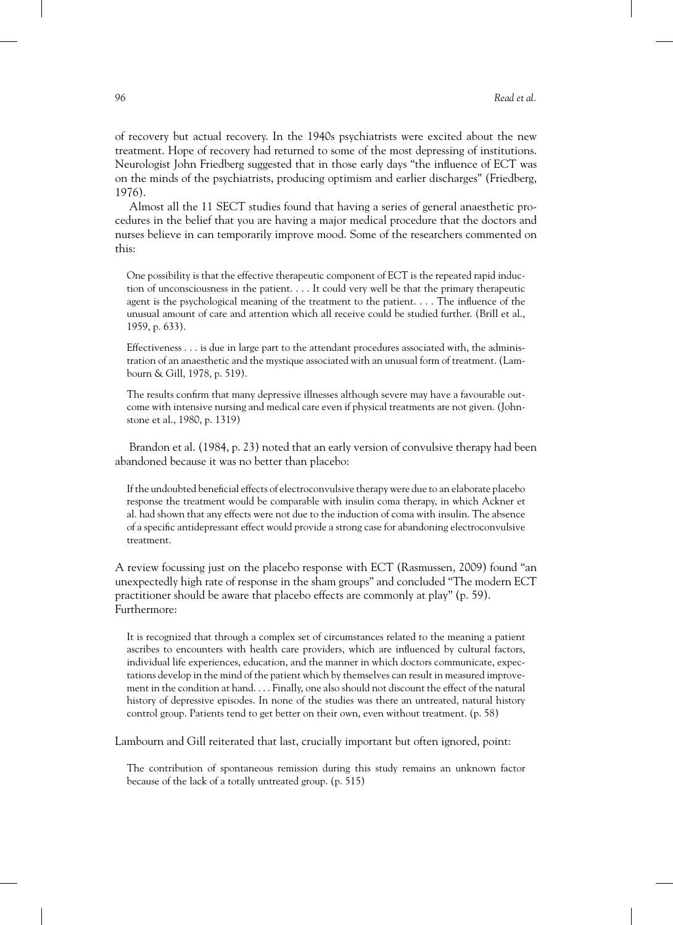of recovery but actual recovery. In the 1940s psychiatrists were excited about the new treatment. Hope of recovery had returned to some of the most depressing of institutions. Neurologist John Friedberg suggested that in those early days "the influence of ECT was on the minds of the psychiatrists, producing optimism and earlier discharges" (Friedberg, 1976).

Almost all the 11 SECT studies found that having a series of general anaesthetic procedures in the belief that you are having a major medical procedure that the doctors and nurses believe in can temporarily improve mood. Some of the researchers commented on this:

One possibility is that the effective therapeutic component of ECT is the repeated rapid induction of unconsciousness in the patient. . . . It could very well be that the primary therapeutic agent is the psychological meaning of the treatment to the patient. . . . The influence of the unusual amount of care and attention which all receive could be studied further. (Brill et al., 1959, p. 633).

Effectiveness . . . is due in large part to the attendant procedures associated with, the administration of an anaesthetic and the mystique associated with an unusual form of treatment. (Lambourn & Gill, 1978, p. 519).

The results confirm that many depressive illnesses although severe may have a favourable outcome with intensive nursing and medical care even if physical treatments are not given. (Johnstone et al., 1980, p. 1319)

Brandon et al. (1984, p. 23) noted that an early version of convulsive therapy had been abandoned because it was no better than placebo:

If the undoubted beneficial effects of electroconvulsive therapy were due to an elaborate placebo response the treatment would be comparable with insulin coma therapy, in which Ackner et al. had shown that any effects were not due to the induction of coma with insulin. The absence of a specific antidepressant effect would provide a strong case for abandoning electroconvulsive treatment.

A review focussing just on the placebo response with ECT (Rasmussen, 2009) found "an unexpectedly high rate of response in the sham groups" and concluded "The modern ECT practitioner should be aware that placebo effects are commonly at play" (p. 59). Furthermore:

It is recognized that through a complex set of circumstances related to the meaning a patient ascribes to encounters with health care providers, which are influenced by cultural factors, individual life experiences, education, and the manner in which doctors communicate, expectations develop in the mind of the patient which by themselves can result in measured improvement in the condition at hand. . . . Finally, one also should not discount the effect of the natural history of depressive episodes. In none of the studies was there an untreated, natural history control group. Patients tend to get better on their own, even without treatment. (p. 58)

Lambourn and Gill reiterated that last, crucially important but often ignored, point:

The contribution of spontaneous remission during this study remains an unknown factor because of the lack of a totally untreated group. (p. 515)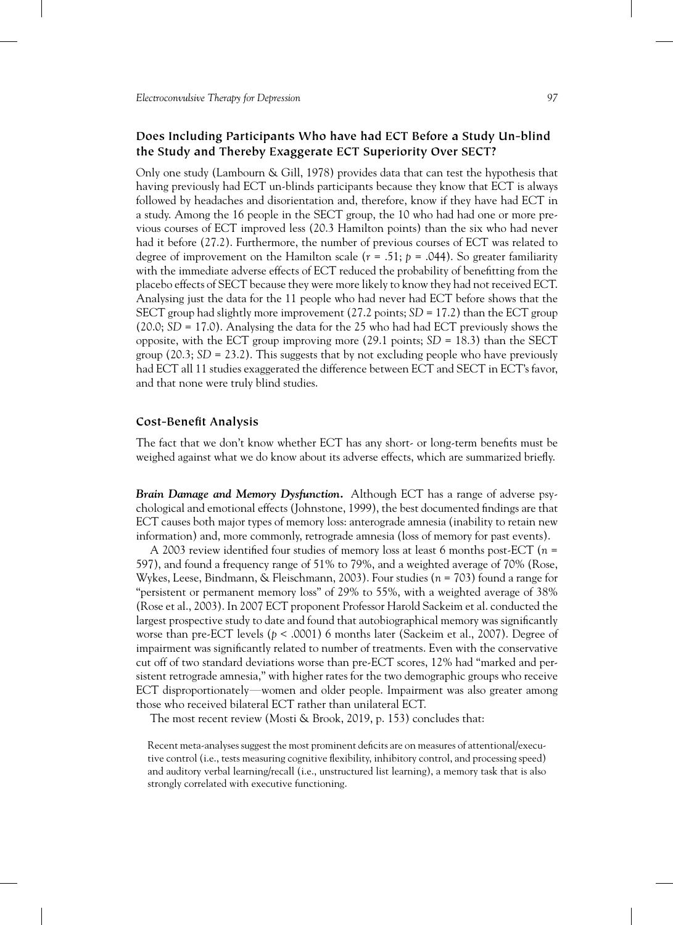# **Does Including Participants Who have had ECT Before a Study Un-blind the Study and Thereby Exaggerate ECT Superiority Over SECT?**

Only one study (Lambourn & Gill, 1978) provides data that can test the hypothesis that having previously had ECT un-blinds participants because they know that ECT is always followed by headaches and disorientation and, therefore, know if they have had ECT in a study. Among the 16 people in the SECT group, the 10 who had had one or more previous courses of ECT improved less (20.3 Hamilton points) than the six who had never had it before (27.2). Furthermore, the number of previous courses of ECT was related to degree of improvement on the Hamilton scale  $(r = .51; p = .044)$ . So greater familiarity with the immediate adverse effects of ECT reduced the probability of benefitting from the placebo effects of SECT because they were more likely to know they had not received ECT. Analysing just the data for the 11 people who had never had ECT before shows that the SECT group had slightly more improvement (27.2 points; *SD* = 17.2) than the ECT group (20.0; *SD* = 17.0). Analysing the data for the 25 who had had ECT previously shows the opposite, with the ECT group improving more  $(29.1 \text{ points}; SD = 18.3)$  than the SECT group  $(20.3; SD = 23.2)$ . This suggests that by not excluding people who have previously had ECT all 11 studies exaggerated the difference between ECT and SECT in ECT's favor, and that none were truly blind studies.

## **Cost-Benefit Analysis**

The fact that we don't know whether ECT has any short- or long-term benefits must be weighed against what we do know about its adverse effects, which are summarized briefly.

*Brain Damage and Memory Dysfunction.* Although ECT has a range of adverse psychological and emotional effects (Johnstone, 1999), the best documented findings are that ECT causes both major types of memory loss: anterograde amnesia (inability to retain new information) and, more commonly, retrograde amnesia (loss of memory for past events).

A 2003 review identified four studies of memory loss at least 6 months post-ECT (*n* = 597), and found a frequency range of 51% to 79%, and a weighted average of 70% (Rose, Wykes, Leese, Bindmann, & Fleischmann, 2003). Four studies (*n* = 703) found a range for "persistent or permanent memory loss" of 29% to 55%, with a weighted average of 38% (Rose et al., 2003). In 2007 ECT proponent Professor Harold Sackeim et al. conducted the largest prospective study to date and found that autobiographical memory was significantly worse than pre-ECT levels (*p* < .0001) 6 months later (Sackeim et al., 2007). Degree of impairment was significantly related to number of treatments. Even with the conservative cut off of two standard deviations worse than pre-ECT scores, 12% had "marked and persistent retrograde amnesia," with higher rates for the two demographic groups who receive ECT disproportionately—women and older people. Impairment was also greater among those who received bilateral ECT rather than unilateral ECT.

The most recent review (Mosti & Brook, 2019, p. 153) concludes that:

Recent meta-analyses suggest the most prominent deficits are on measures of attentional/executive control (i.e., tests measuring cognitive flexibility, inhibitory control, and processing speed) and auditory verbal learning/recall (i.e., unstructured list learning), a memory task that is also strongly correlated with executive functioning.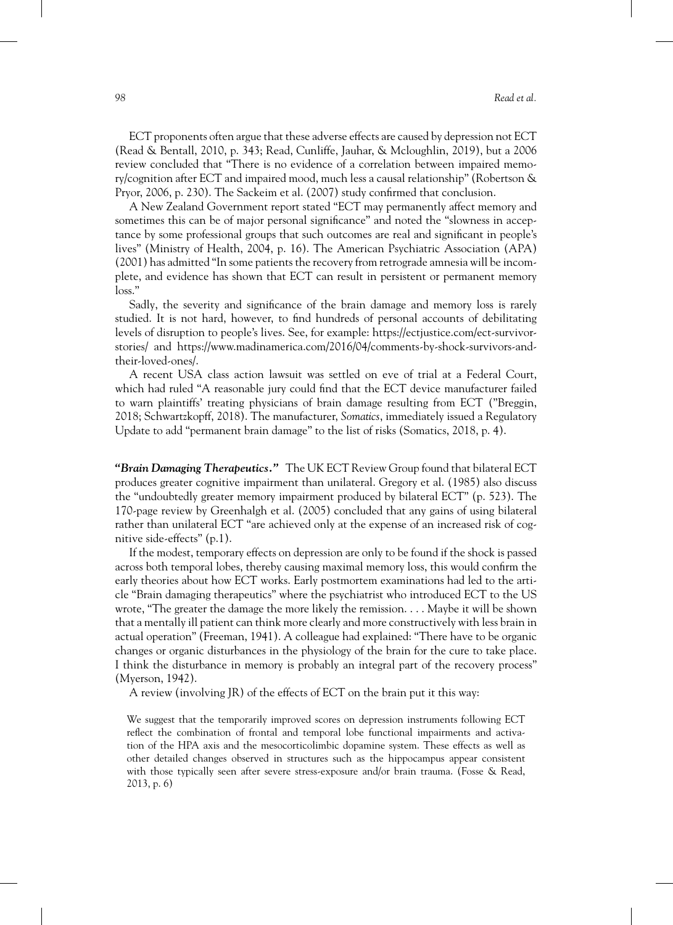ECT proponents often argue that these adverse effects are caused by depression not ECT (Read & Bentall, 2010, p. 343; Read, Cunliffe, Jauhar, & Mcloughlin, 2019), but a 2006 review concluded that "There is no evidence of a correlation between impaired memory/cognition after ECT and impaired mood, much less a causal relationship" (Robertson & Pryor, 2006, p. 230). The Sackeim et al. (2007) study confirmed that conclusion.

A New Zealand Government report stated "ECT may permanently affect memory and sometimes this can be of major personal significance" and noted the "slowness in acceptance by some professional groups that such outcomes are real and significant in people's lives" (Ministry of Health, 2004, p. 16). The American Psychiatric Association (APA) (2001) has admitted "In some patients the recovery from retrograde amnesia will be incomplete, and evidence has shown that ECT can result in persistent or permanent memory loss."

Sadly, the severity and significance of the brain damage and memory loss is rarely studied. It is not hard, however, to find hundreds of personal accounts of debilitating levels of disruption to people's lives. See, for example: [https://ectjustice.com/ect-survivor](https://ectjustice.com/ect-survivor-stories/and)[stories/ and](https://ectjustice.com/ect-survivor-stories/and) [https://www.madinamerica.com/2016/04/comments-by-shock-survivors-and](https://www.madinamerica.com/2016/04/comments-by-shock-survivors-and-their-loved-ones/)[their-loved-ones/.](https://www.madinamerica.com/2016/04/comments-by-shock-survivors-and-their-loved-ones/)

A recent USA class action lawsuit was settled on eve of trial at a Federal Court, which had ruled "A reasonable jury could find that the ECT device manufacturer failed to warn plaintiffs' treating physicians of brain damage resulting from ECT ("Breggin, 2018; Schwartzkopff, 2018). The manufacturer, *Somatics*, immediately issued a Regulatory Update to add "permanent brain damage" to the list of risks (Somatics, 2018, p. 4).

*"Brain Damaging Therapeutics."* The UK ECT Review Group found that bilateral ECT produces greater cognitive impairment than unilateral. Gregory et al. (1985) also discuss the "undoubtedly greater memory impairment produced by bilateral ECT" (p. 523). The 170-page review by Greenhalgh et al. (2005) concluded that any gains of using bilateral rather than unilateral ECT "are achieved only at the expense of an increased risk of cognitive side-effects" (p.1).

If the modest, temporary effects on depression are only to be found if the shock is passed across both temporal lobes, thereby causing maximal memory loss, this would confirm the early theories about how ECT works. Early postmortem examinations had led to the article "Brain damaging therapeutics" where the psychiatrist who introduced ECT to the US wrote, "The greater the damage the more likely the remission. . . . Maybe it will be shown that a mentally ill patient can think more clearly and more constructively with less brain in actual operation" (Freeman, 1941). A colleague had explained: "There have to be organic changes or organic disturbances in the physiology of the brain for the cure to take place. I think the disturbance in memory is probably an integral part of the recovery process" (Myerson, 1942).

A review (involving JR) of the effects of ECT on the brain put it this way:

We suggest that the temporarily improved scores on depression instruments following ECT reflect the combination of frontal and temporal lobe functional impairments and activation of the HPA axis and the mesocorticolimbic dopamine system. These effects as well as other detailed changes observed in structures such as the hippocampus appear consistent with those typically seen after severe stress-exposure and/or brain trauma. (Fosse & Read,  $2013$ , p. 6)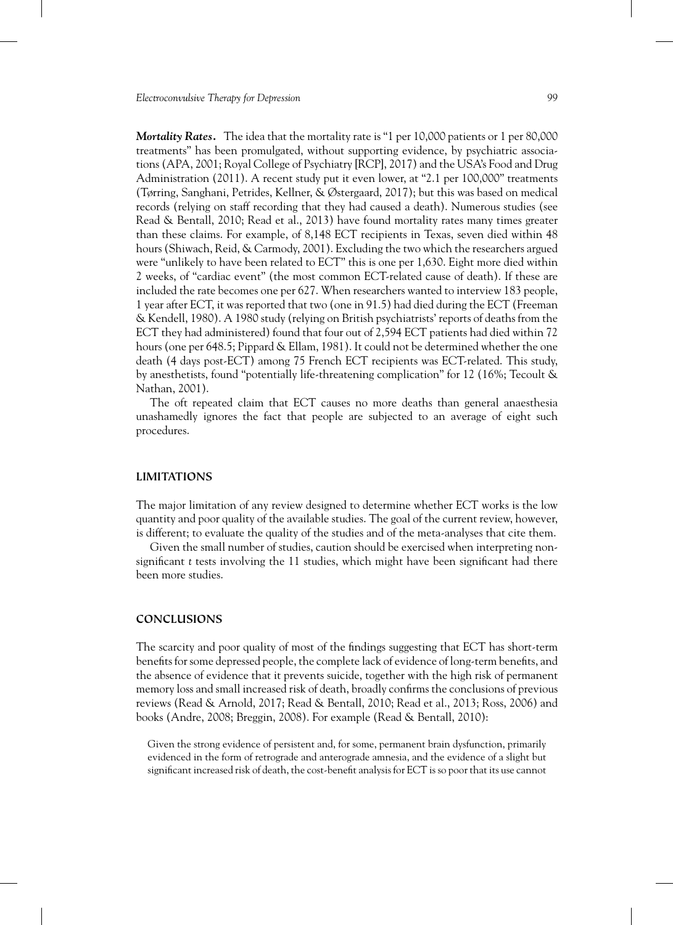*Mortality Rates.* The idea that the mortality rate is "1 per 10,000 patients or 1 per 80,000 treatments" has been promulgated, without supporting evidence, by psychiatric associations (APA, 2001; Royal College of Psychiatry [RCP], 2017) and the USA's Food and Drug Administration (2011). A recent study put it even lower, at "2.1 per 100,000" treatments (Tørring, Sanghani, Petrides, Kellner, & Østergaard, 2017); but this was based on medical records (relying on staff recording that they had caused a death). Numerous studies (see Read & Bentall, 2010; Read et al., 2013) have found mortality rates many times greater than these claims. For example, of 8,148 ECT recipients in Texas, seven died within 48 hours (Shiwach, Reid, & Carmody, 2001). Excluding the two which the researchers argued were "unlikely to have been related to ECT" this is one per 1,630. Eight more died within 2 weeks, of "cardiac event" (the most common ECT-related cause of death). If these are included the rate becomes one per 627. When researchers wanted to interview 183 people, 1 year after ECT, it was reported that two (one in 91.5) had died during the ECT (Freeman & Kendell, 1980). A 1980 study (relying on British psychiatrists' reports of deaths from the ECT they had administered) found that four out of 2,594 ECT patients had died within 72 hours (one per 648.5; Pippard & Ellam, 1981). It could not be determined whether the one death (4 days post-ECT) among 75 French ECT recipients was ECT-related. This study, by anesthetists, found "potentially life-threatening complication" for 12 (16%; Tecoult & Nathan, 2001).

The oft repeated claim that ECT causes no more deaths than general anaesthesia unashamedly ignores the fact that people are subjected to an average of eight such procedures.

#### **LIMITATIONS**

The major limitation of any review designed to determine whether ECT works is the low quantity and poor quality of the available studies. The goal of the current review, however, is different; to evaluate the quality of the studies and of the meta-analyses that cite them.

Given the small number of studies, caution should be exercised when interpreting nonsignificant *t* tests involving the 11 studies, which might have been significant had there been more studies.

## **CONCLUSIONS**

The scarcity and poor quality of most of the findings suggesting that ECT has short-term benefits for some depressed people, the complete lack of evidence of long-term benefits, and the absence of evidence that it prevents suicide, together with the high risk of permanent memory loss and small increased risk of death, broadly confirms the conclusions of previous reviews (Read & Arnold, 2017; Read & Bentall, 2010; Read et al., 2013; Ross, 2006) and books (Andre, 2008; Breggin, 2008). For example (Read & Bentall, 2010):

Given the strong evidence of persistent and, for some, permanent brain dysfunction, primarily evidenced in the form of retrograde and anterograde amnesia, and the evidence of a slight but significant increased risk of death, the cost-benefit analysis for ECT is so poor that its use cannot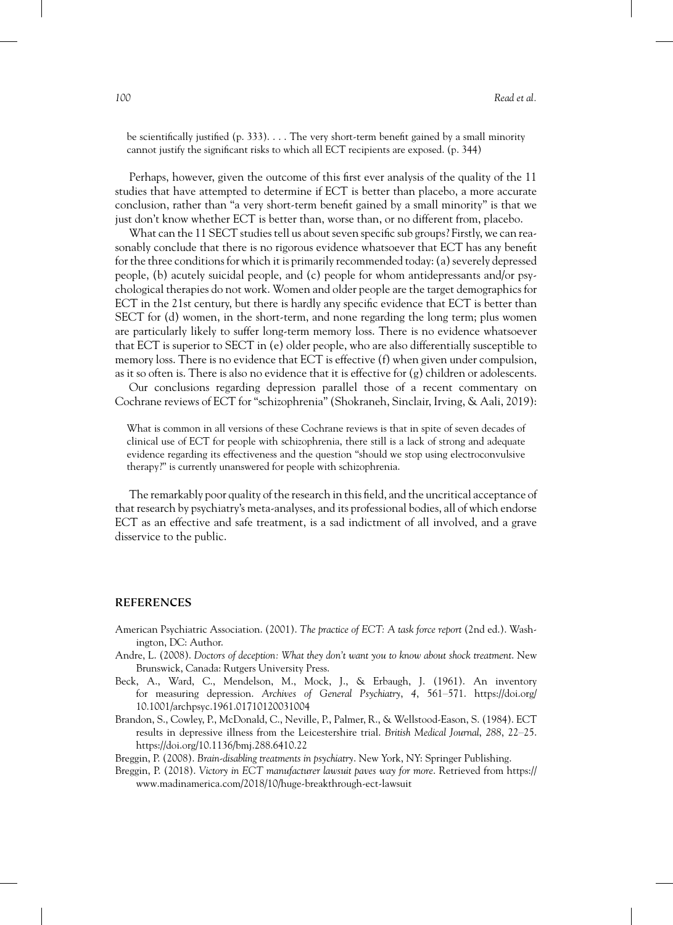be scientifically justified (p. 333). . . . The very short-term benefit gained by a small minority cannot justify the significant risks to which all ECT recipients are exposed. (p. 344)

Perhaps, however, given the outcome of this first ever analysis of the quality of the 11 studies that have attempted to determine if ECT is better than placebo, a more accurate conclusion, rather than "a very short-term benefit gained by a small minority" is that we just don't know whether ECT is better than, worse than, or no different from, placebo.

What can the 11 SECT studies tell us about seven specific sub groups? Firstly, we can reasonably conclude that there is no rigorous evidence whatsoever that ECT has any benefit for the three conditions for which it is primarily recommended today: (a) severely depressed people, (b) acutely suicidal people, and (c) people for whom antidepressants and/or psychological therapies do not work. Women and older people are the target demographics for ECT in the 21st century, but there is hardly any specific evidence that ECT is better than SECT for (d) women, in the short-term, and none regarding the long term; plus women are particularly likely to suffer long-term memory loss. There is no evidence whatsoever that ECT is superior to SECT in (e) older people, who are also differentially susceptible to memory loss. There is no evidence that ECT is effective (f) when given under compulsion, as it so often is. There is also no evidence that it is effective for (g) children or adolescents.

Our conclusions regarding depression parallel those of a recent commentary on Cochrane reviews of ECT for "schizophrenia" (Shokraneh, Sinclair, Irving, & Aali, 2019):

What is common in all versions of these Cochrane reviews is that in spite of seven decades of clinical use of ECT for people with schizophrenia, there still is a lack of strong and adequate evidence regarding its effectiveness and the question "should we stop using electroconvulsive therapy?" is currently unanswered for people with schizophrenia.

The remarkably poor quality of the research in this field, and the uncritical acceptance of that research by psychiatry's meta-analyses, and its professional bodies, all of which endorse ECT as an effective and safe treatment, is a sad indictment of all involved, and a grave disservice to the public.

#### **REFERENCES**

- American Psychiatric Association. (2001). *The practice of ECT: A task force report* (2nd ed.). Washington, DC: Author.
- Andre, L. (2008). *Doctors of deception: What they don't want you to know about shock treatment*. New Brunswick, Canada: Rutgers University Press.
- Beck, A., Ward, C., Mendelson, M., Mock, J., & Erbaugh, J. (1961). An inventory for measuring depression. *Archives of General Psychiatry*, *4*, 561–571. [https://doi.org/](https://doi.org/10.1001/archpsyc.1961.01710120031004) [10.1001/archpsyc.1961.01710120031004](https://doi.org/10.1001/archpsyc.1961.01710120031004)
- Brandon, S., Cowley, P., McDonald, C., Neville, P., Palmer, R., & Wellstood-Eason, S. (1984). ECT results in depressive illness from the Leicestershire trial. *British Medical Journal*, *288*, 22–25. <https://doi.org/10.1136/bmj.288.6410.22>

Breggin, P. (2008). *Brain-disabling treatments in psychiatry*. New York, NY: Springer Publishing.

Breggin, P. (2018). *Victory in ECT manufacturer lawsuit paves way for more*. Retrieved from [https://](https://www.madinamerica.com/2018/10/huge-breakthrough-ect-lawsuit) [www.madinamerica.com/2018/10/huge-breakthrough-ect-lawsuit](https://www.madinamerica.com/2018/10/huge-breakthrough-ect-lawsuit)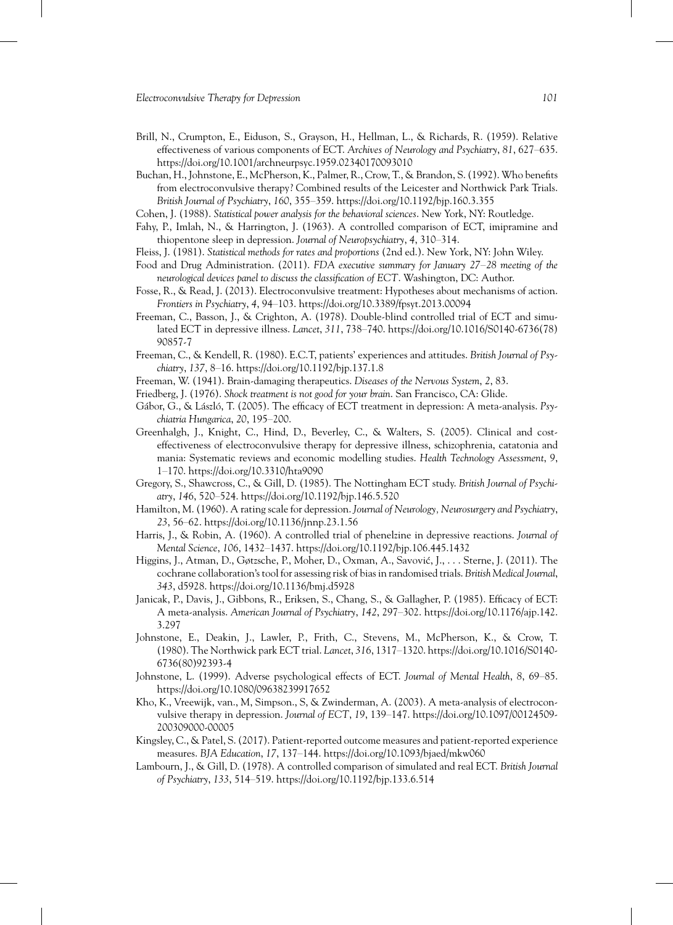- Brill, N., Crumpton, E., Eiduson, S., Grayson, H., Hellman, L., & Richards, R. (1959). Relative effectiveness of various components of ECT. *Archives of Neurology and Psychiatry*, *81*, 627–635. <https://doi.org/10.1001/archneurpsyc.1959.02340170093010>
- Buchan, H., Johnstone, E., McPherson, K., Palmer, R., Crow, T., & Brandon, S. (1992). Who benefits from electroconvulsive therapy? Combined results of the Leicester and Northwick Park Trials. *British Journal of Psychiatry*, *160*, 355–359.<https://doi.org/10.1192/bjp.160.3.355>

Cohen, J. (1988). *Statistical power analysis for the behavioral sciences*. New York, NY: Routledge.

- Fahy, P., Imlah, N., & Harrington, J. (1963). A controlled comparison of ECT, imipramine and thiopentone sleep in depression. *Journal of Neuropsychiatry*, *4*, 310–314.
- Fleiss, J. (1981). *Statistical methods for rates and proportions* (2nd ed.). New York, NY: John Wiley.
- Food and Drug Administration. (2011). *FDA executive summary for January 27*–*28 meeting of the neurological devices panel to discuss the classification of ECT*. Washington, DC: Author.
- Fosse, R., & Read, J. (2013). Electroconvulsive treatment: Hypotheses about mechanisms of action. *Frontiers in Psychiatry*, *4*, 94–103.<https://doi.org/10.3389/fpsyt.2013.00094>
- Freeman, C., Basson, J., & Crighton, A. (1978). Double-blind controlled trial of ECT and simulated ECT in depressive illness. *Lancet*, *311*, 738–740. [https://doi.org/10.1016/S0140-6736\(78\)](https://doi.org/10.1016/S0140-6736(78)90857-7) [90857-7](https://doi.org/10.1016/S0140-6736(78)90857-7)
- Freeman, C., & Kendell, R. (1980). E.C.T, patients' experiences and attitudes. *British Journal of Psychiatry*, *137*, 8–16.<https://doi.org/10.1192/bjp.137.1.8>
- Freeman, W. (1941). Brain-damaging therapeutics. *Diseases of the Nervous System*, *2*, 83.
- Friedberg, J. (1976). *Shock treatment is not good for your brain*. San Francisco, CA: Glide.
- Gábor, G., & László, T. (2005). The efficacy of ECT treatment in depression: A meta-analysis. *Psychiatria Hungarica*, *20*, 195–200.
- Greenhalgh, J., Knight, C., Hind, D., Beverley, C., & Walters, S. (2005). Clinical and costeffectiveness of electroconvulsive therapy for depressive illness, schizophrenia, catatonia and mania: Systematic reviews and economic modelling studies. *Health Technology Assessment*, *9*, 1–170.<https://doi.org/10.3310/hta9090>
- Gregory, S., Shawcross, C., & Gill, D. (1985). The Nottingham ECT study. *British Journal of Psychiatry*, *146*, 520–524.<https://doi.org/10.1192/bjp.146.5.520>
- Hamilton, M. (1960). A rating scale for depression. *Journal of Neurology, Neurosurgery and Psychiatry*, *23*, 56–62.<https://doi.org/10.1136/jnnp.23.1.56>
- Harris, J., & Robin, A. (1960). A controlled trial of phenelzine in depressive reactions. *Journal of Mental Science*, *106*, 1432–1437.<https://doi.org/10.1192/bjp.106.445.1432>
- Higgins, J., Atman, D., Gøtzsche, P., Moher, D., Oxman, A., Savović, J., . . . Sterne, J. (2011). The cochrane collaboration's tool for assessing risk of bias in randomised trials. *British Medical Journal*, *343*, d5928.<https://doi.org/10.1136/bmj.d5928>
- Janicak, P., Davis, J., Gibbons, R., Eriksen, S., Chang, S., & Gallagher, P. (1985). Efficacy of ECT: A meta-analysis. *American Journal of Psychiatry*, *142*, 297–302. [https://doi.org/10.1176/ajp.142.](https://doi.org/10.1176/ajp.142.3.297) [3.297](https://doi.org/10.1176/ajp.142.3.297)
- Johnstone, E., Deakin, J., Lawler, P., Frith, C., Stevens, M., McPherson, K., & Crow, T. (1980). The Northwick park ECT trial. *Lancet*, *316*, 1317–1320. [https://doi.org/10.1016/S0140-](https://doi.org/10.1016/S0140-6736(80)92393-4) [6736\(80\)92393-4](https://doi.org/10.1016/S0140-6736(80)92393-4)
- Johnstone, L. (1999). Adverse psychological effects of ECT. *Journal of Mental Health*, *8*, 69–85. <https://doi.org/10.1080/09638239917652>
- Kho, K., Vreewijk, van., M, Simpson., S, & Zwinderman, A. (2003). A meta-analysis of electroconvulsive therapy in depression. *Journal of ECT*, *19*, 139–147. [https://doi.org/10.1097/00124509-](https://doi.org/10.1097/00124509-200309000-00005) [200309000-00005](https://doi.org/10.1097/00124509-200309000-00005)
- Kingsley, C., & Patel, S. (2017). Patient-reported outcome measures and patient-reported experience measures. *BJA Education*, *17*, 137–144.<https://doi.org/10.1093/bjaed/mkw060>
- Lambourn, J., & Gill, D. (1978). A controlled comparison of simulated and real ECT. *British Journal of Psychiatry*, *133*, 514–519.<https://doi.org/10.1192/bjp.133.6.514>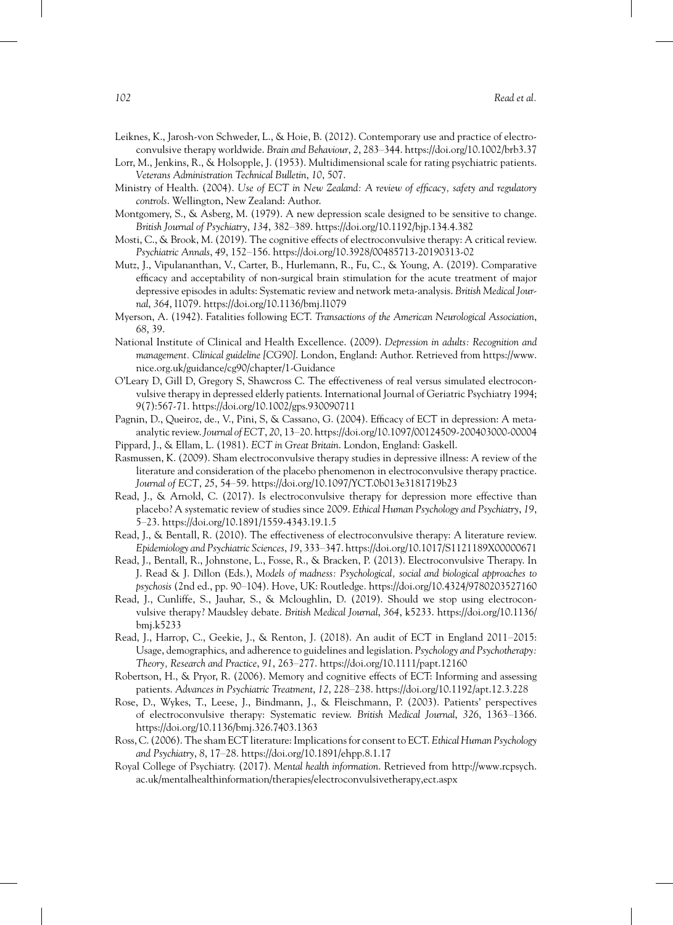- Leiknes, K., Jarosh-von Schweder, L., & Hoie, B. (2012). Contemporary use and practice of electroconvulsive therapy worldwide. *Brain and Behaviour*, *2*, 283–344.<https://doi.org/10.1002/brb3.37>
- Lorr, M., Jenkins, R., & Holsopple, J. (1953). Multidimensional scale for rating psychiatric patients. *Veterans Administration Technical Bulletin*, *10*, 507.
- Ministry of Health. (2004). *Use of ECT in New Zealand: A review of efficacy, safety and regulatory controls*. Wellington, New Zealand: Author.
- Montgomery, S., & Asberg, M. (1979). A new depression scale designed to be sensitive to change. *British Journal of Psychiatry*, *134*, 382–389.<https://doi.org/10.1192/bjp.134.4.382>
- Mosti, C., & Brook, M. (2019). The cognitive effects of electroconvulsive therapy: A critical review. *Psychiatric Annals*, *49*, 152–156.<https://doi.org/10.3928/00485713-20190313-02>
- Mutz, J., Vipulananthan, V., Carter, B., Hurlemann, R., Fu, C., & Young, A. (2019). Comparative efficacy and acceptability of non-surgical brain stimulation for the acute treatment of major depressive episodes in adults: Systematic review and network meta-analysis. *British Medical Journal*, *364*, l1079.<https://doi.org/10.1136/bmj.l1079>
- Myerson, A. (1942). Fatalities following ECT. *Transactions of the American Neurological Association*, *68*, 39.
- National Institute of Clinical and Health Excellence. (2009). *Depression in adults: Recognition and management. Clinical guideline [CG90]*. London, England: Author. Retrieved from [https://www.](https://www) nice.org.uk/guidance/cg90/chapter/1-Guidance
- O'Leary D, Gill D, Gregory S, Shawcross C. The effectiveness of real versus simulated electroconvulsive therapy in depressed elderly patients. International Journal of Geriatric Psychiatry 1994; 9(7):567‐71.<https://doi.org/10.1002/gps.930090711>
- Pagnin, D., Queiroz, de., V., Pini, S, & Cassano, G. (2004). Efficacy of ECT in depression: A metaanalytic review.*Journal of ECT*, *20*, 13–20.<https://doi.org/10.1097/00124509-200403000-00004>
- Pippard, J., & Ellam, L. (1981). *ECT in Great Britain*. London, England: Gaskell.
- Rasmussen, K. (2009). Sham electroconvulsive therapy studies in depressive illness: A review of the literature and consideration of the placebo phenomenon in electroconvulsive therapy practice. *Journal of ECT*, *25*, 54–59.<https://doi.org/10.1097/YCT.0b013e3181719b23>
- Read, J., & Arnold, C. (2017). Is electroconvulsive therapy for depression more effective than placebo? A systematic review of studies since 2009. *Ethical Human Psychology and Psychiatry*, *19*, 5–23.<https://doi.org/10.1891/1559-4343.19.1.5>
- Read, J., & Bentall, R. (2010). The effectiveness of electroconvulsive therapy: A literature review. *Epidemiology and Psychiatric Sciences*, *19*, 333–347.<https://doi.org/10.1017/S1121189X00000671>
- Read, J., Bentall, R., Johnstone, L., Fosse, R., & Bracken, P. (2013). Electroconvulsive Therapy. In J. Read & J. Dillon (Eds.), *Models of madness: Psychological, social and biological approaches to psychosis* (2nd ed., pp. 90–104). Hove, UK: Routledge.<https://doi.org/10.4324/9780203527160>
- Read, J., Cunliffe, S., Jauhar, S., & Mcloughlin, D. (2019). Should we stop using electroconvulsive therapy? Maudsley debate. *British Medical Journal*, *364*, k5233. [https://doi.org/10.1136/](https://doi.org/10.1136/bmj.k5233) [bmj.k5233](https://doi.org/10.1136/bmj.k5233)
- Read, J., Harrop, C., Geekie, J., & Renton, J. (2018). An audit of ECT in England 2011–2015: Usage, demographics, and adherence to guidelines and legislation. *Psychology and Psychotherapy: Theory, Research and Practice*, *91*, 263–277.<https://doi.org/10.1111/papt.12160>
- Robertson, H., & Pryor, R. (2006). Memory and cognitive effects of ECT: Informing and assessing patients. *Advances in Psychiatric Treatment*, *12*, 228–238.<https://doi.org/10.1192/apt.12.3.228>
- Rose, D., Wykes, T., Leese, J., Bindmann, J., & Fleischmann, P. (2003). Patients' perspectives of electroconvulsive therapy: Systematic review. *British Medical Journal*, *326*, 1363–1366. <https://doi.org/10.1136/bmj.326.7403.1363>
- Ross, C. (2006). The sham ECT literature: Implications for consent to ECT. *Ethical Human Psychology and Psychiatry*, *8*, 17–28.<https://doi.org/10.1891/ehpp.8.1.17>
- Royal College of Psychiatry. (2017). *Mental health information*. Retrieved from [http://www.rcpsych.](http://www.rcpsych.ac.uk/mentalhealthinformation/therapies/electroconvulsivetherapy,ect.aspx) [ac.uk/mentalhealthinformation/therapies/electroconvulsivetherapy,ect.aspx](http://www.rcpsych.ac.uk/mentalhealthinformation/therapies/electroconvulsivetherapy,ect.aspx)